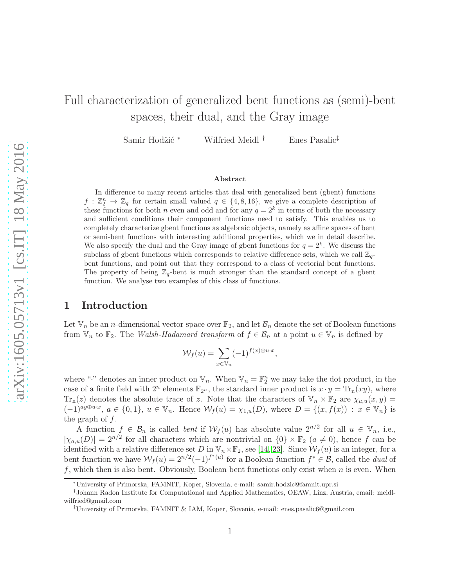# Full characterization of generalized bent functions as (semi)-bent spaces, their dual, and the Gray image

Samir Hodžić \* Wilfried Meidl<sup>†</sup> Enes Pasalic<sup>‡</sup>

#### Abstract

In difference to many recent articles that deal with generalized bent (gbent) functions  $f: \mathbb{Z}_2^n \to \mathbb{Z}_q$  for certain small valued  $q \in \{4, 8, 16\}$ , we give a complete description of these functions for both *n* even and odd and for any  $q = 2<sup>k</sup>$  in terms of both the necessary and sufficient conditions their component functions need to satisfy. This enables us to completely characterize gbent functions as algebraic objects, namely as affine spaces of bent or semi-bent functions with interesting additional properties, which we in detail describe. We also specify the dual and the Gray image of gbent functions for  $q = 2<sup>k</sup>$ . We discuss the subclass of gbent functions which corresponds to relative difference sets, which we call  $\mathbb{Z}_q$ bent functions, and point out that they correspond to a class of vectorial bent functions. The property of being  $\mathbb{Z}_q$ -bent is much stronger than the standard concept of a gbent function. We analyse two examples of this class of functions.

# 1 Introduction

Let  $\mathbb{V}_n$  be an *n*-dimensional vector space over  $\mathbb{F}_2$ , and let  $\mathcal{B}_n$  denote the set of Boolean functions from  $\mathbb{V}_n$  to  $\mathbb{F}_2$ . The Walsh-Hadamard transform of  $f \in \mathcal{B}_n$  at a point  $u \in \mathbb{V}_n$  is defined by

$$
\mathcal{W}_f(u) = \sum_{x \in \mathbb{V}_n} (-1)^{f(x) \oplus u \cdot x},
$$

where "." denotes an inner product on  $\mathbb{V}_n$ . When  $\mathbb{V}_n = \mathbb{F}_2^n$  we may take the dot product, in the case of a finite field with  $2^n$  elements  $\mathbb{F}_{2^n}$ , the standard inner product is  $x \cdot y = \text{Tr}_n(xy)$ , where  $\text{Tr}_{n}(z)$  denotes the absolute trace of z. Note that the characters of  $\mathbb{V}_{n} \times \mathbb{F}_{2}$  are  $\chi_{a,u}(x,y)$  $(-1)^{ay\oplus u\cdot x}, a \in \{0,1\}, u \in \mathbb{V}_n$ . Hence  $\mathcal{W}_f(u) = \chi_{1,u}(D)$ , where  $D = \{(x, f(x)) : x \in \mathbb{V}_n\}$  is the graph of  $f$ .

A function  $f \in \mathcal{B}_n$  is called *bent* if  $\mathcal{W}_f(u)$  has absolute value  $2^{n/2}$  for all  $u \in \mathbb{V}_n$ , i.e.,  $|\chi_{a,u}(D)| = 2^{n/2}$  for all characters which are nontrivial on  $\{0\} \times \mathbb{F}_2$   $(a \neq 0)$ , hence f can be identified with a relative difference set D in  $\mathbb{V}_n \times \mathbb{F}_2$ , see [\[14,](#page-18-0) [23\]](#page-19-0). Since  $\mathcal{W}_f(u)$  is an integer, for a bent function we have  $W_f(u) = 2^{n/2}(-1)^{f^*(u)}$  for a Boolean function  $f^* \in \mathcal{B}$ , called the *dual* of f, which then is also bent. Obviously, Boolean bent functions only exist when  $n$  is even. When

<sup>∗</sup>University of Primorska, FAMNIT, Koper, Slovenia, e-mail: samir.hodzic@famnit.upr.si

<sup>†</sup> Johann Radon Institute for Computational and Applied Mathematics, OEAW, Linz, Austria, email: meidlwilfried@gmail.com

<sup>‡</sup>University of Primorska, FAMNIT & IAM, Koper, Slovenia, e-mail: enes.pasalic6@gmail.com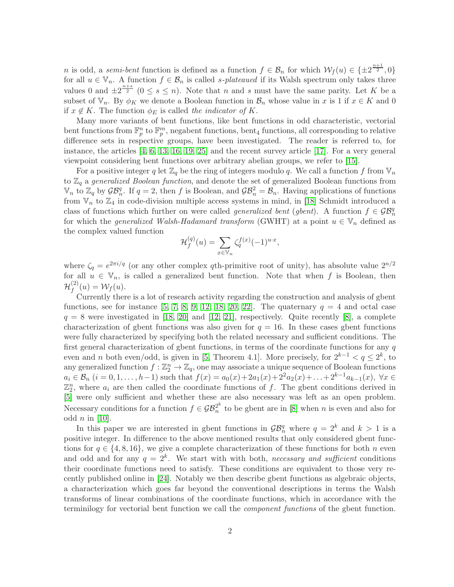n is odd, a semi-bent function is defined as a function  $f \in \mathcal{B}_n$  for which  $\mathcal{W}_f(u) \in \{\pm 2^{\frac{n+1}{2}}, 0\}$ for all  $u \in \mathbb{V}_n$ . A function  $f \in \mathcal{B}_n$  is called s-plateaued if its Walsh spectrum only takes three values 0 and  $\pm 2^{\frac{n+s}{2}}$   $(0 \le s \le n)$ . Note that *n* and *s* must have the same parity. Let *K* be a subset of  $\mathbb{V}_n$ . By  $\phi_K$  we denote a Boolean function in  $\mathcal{B}_n$  whose value in x is 1 if  $x \in K$  and 0 if  $x \notin K$ . The function  $\phi_E$  is called the indicator of K.

Many more variants of bent functions, like bent functions in odd characteristic, vectorial bent functions from  $\mathbb{F}_p^n$  to  $\mathbb{F}_p^m$ , negabent functions, bent<sub>4</sub> functions, all corresponding to relative difference sets in respective groups, have been investigated. The reader is referred to, for instance, the articles [\[4,](#page-18-1) [6,](#page-18-2) [13,](#page-18-3) [16,](#page-18-4) [19,](#page-19-1) [25\]](#page-19-2) and the recent survey article [\[17\]](#page-18-5). For a very general viewpoint considering bent functions over arbitrary abelian groups, we refer to [\[15\]](#page-18-6).

For a positive integer q let  $\mathbb{Z}_q$  be the ring of integers modulo q. We call a function f from  $\mathbb{V}_n$ to  $\mathbb{Z}_q$  a generalized Boolean function, and denote the set of generalized Boolean functions from  $\mathbb{V}_n$  to  $\mathbb{Z}_q$  by  $\mathcal{GB}_n^q$ . If  $q=2$ , then f is Boolean, and  $\mathcal{GB}_n^2=\mathcal{B}_n$ . Having applications of functions from  $V_n$  to  $\mathbb{Z}_4$  in code-division multiple access systems in mind, in [\[18\]](#page-19-3) Schmidt introduced a class of functions which further on were called *generalized bent* (gbent). A function  $f \in \mathcal{GB}_n^q$ for which the *generalized Walsh-Hadamard transform* (GWHT) at a point  $u \in V_n$  defined as the complex valued function

$$
\mathcal{H}_f^{(q)}(u) = \sum_{x \in \mathbb{V}_n} \zeta_q^{f(x)} (-1)^{u \cdot x},
$$

where  $\zeta_q = e^{2\pi i/q}$  (or any other complex qth-primitive root of unity), has absolute value  $2^{n/2}$ for all  $u \in V_n$ , is called a generalized bent function. Note that when f is Boolean, then  $\mathcal{H}_f^{(2)}$  $f^{(2)}(u) = \mathcal{W}_f(u).$ 

Currently there is a lot of research activity regarding the construction and analysis of gbent functions, see for instance [\[5,](#page-18-7) [7,](#page-18-8) [8,](#page-18-9) [9,](#page-18-10) [12,](#page-18-11) [18,](#page-19-3) [20,](#page-19-4) [22\]](#page-19-5). The quaternary  $q = 4$  and octal case  $q = 8$  were investigated in [\[18,](#page-19-3) [20\]](#page-19-4) and [\[12,](#page-18-11) [21\]](#page-19-6), respectively. Quite recently [\[8\]](#page-18-9), a complete characterization of gbent functions was also given for  $q = 16$ . In these cases gbent functions were fully characterized by specifying both the related necessary and sufficient conditions. The first general characterization of gbent functions, in terms of the coordinate functions for any  $q$ even and *n* both even/odd, is given in [\[5,](#page-18-7) Theorem 4.1]. More precisely, for  $2^{k-1} < q \le 2^k$ , to any generalized function  $f: \mathbb{Z}_2^n \to \mathbb{Z}_q$ , one may associate a unique sequence of Boolean functions  $a_i \in \mathcal{B}_n$   $(i = 0, 1, \ldots, h-1)$  such that  $f(x) = a_0(x) + 2a_1(x) + 2^2 a_2(x) + \ldots + 2^{k-1} a_{k-1}(x)$ ,  $\forall x \in$  $\mathbb{Z}_2^n$ , where  $a_i$  are then called the coordinate functions of f. The gbent conditions derived in [\[5\]](#page-18-7) were only sufficient and whether these are also necessary was left as an open problem. Necessary conditions for a function  $f \in \mathcal{GB}_n^{2^k}$  $\frac{2^n}{n}$  to be gbent are in [\[8\]](#page-18-9) when *n* is even and also for odd  $n$  in [\[10\]](#page-18-12).

In this paper we are interested in gbent functions in  $\mathcal{GB}_n^q$  where  $q = 2^k$  and  $k > 1$  is a positive integer. In difference to the above mentioned results that only considered gbent functions for  $q \in \{4, 8, 16\}$ , we give a complete characterization of these functions for both n even and odd and for any  $q = 2^k$ . We start with with both, necessary and sufficient conditions their coordinate functions need to satisfy. These conditions are equivalent to those very recently published online in [\[24\]](#page-19-7). Notably we then describe gbent functions as algebraic objects, a characterization which goes far beyond the conventional descriptions in terms the Walsh transforms of linear combinations of the coordinate functions, which in accordance with the terminilogy for vectorial bent function we call the component functions of the gbent function.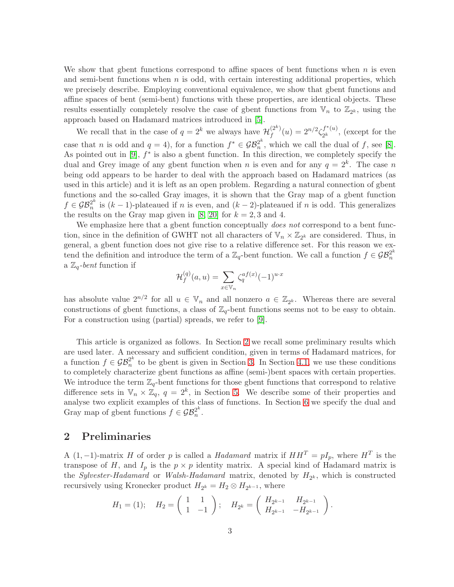We show that gbent functions correspond to affine spaces of bent functions when  $n$  is even and semi-bent functions when  $n$  is odd, with certain interesting additional properties, which we precisely describe. Employing conventional equivalence, we show that gbent functions and affine spaces of bent (semi-bent) functions with these properties, are identical objects. These results essentially completely resolve the case of gbent functions from  $\mathbb{V}_n$  to  $\mathbb{Z}_{2^k}$ , using the approach based on Hadamard matrices introduced in [\[5\]](#page-18-7).

We recall that in the case of  $q = 2^k$  we always have  $\mathcal{H}_f^{(2^k)}$  $f^{(2^k)}(u) = 2^{n/2} \zeta_{2^k}^{f^*(u)}$  $x_2^{(u)}$ , (except for the case that *n* is odd and  $q = 4$ , for a function  $f^* \in \mathcal{GB}_n^{2^k}$  $n^{2^n}$ , which we call the dual of f, see [\[8\]](#page-18-9). As pointed out in  $[9]$ ,  $f^*$  is also a gbent function. In this direction, we completely specify the dual and Grey image of any gbent function when n is even and for any  $q = 2<sup>k</sup>$ . The case n being odd appears to be harder to deal with the approach based on Hadamard matrices (as used in this article) and it is left as an open problem. Regarding a natural connection of gbent functions and the so-called Gray images, it is shown that the Gray map of a gbent function  $f \in \mathcal{GB}_n^{2^k}$  $\frac{2^n}{n}$  is  $(k-1)$ -plateaued if n is even, and  $(k-2)$ -plateaued if n is odd. This generalizes the results on the Gray map given in [\[8,](#page-18-9) [20\]](#page-19-4) for  $k = 2, 3$  and 4.

We emphasize here that a gbent function conceptually *does not* correspond to a bent function, since in the definition of GWHT not all characters of  $\mathbb{V}_n \times \mathbb{Z}_{2^k}$  are considered. Thus, in general, a gbent function does not give rise to a relative difference set. For this reason we extend the definition and introduce the term of a  $\mathbb{Z}_q$ -bent function. We call a function  $f \in \mathcal{GB}_n^{2^k}$ n a  $\mathbb{Z}_q$ -bent function if

$$
\mathcal{H}_f^{(q)}(a,u) = \sum_{x \in \mathbb{V}_n} \zeta_q^{af(x)} (-1)^{u \cdot x}
$$

has absolute value  $2^{n/2}$  for all  $u \in V_n$  and all nonzero  $a \in \mathbb{Z}_{2^k}$ . Whereas there are several constructions of gbent functions, a class of  $\mathbb{Z}_q$ -bent functions seems not to be easy to obtain. For a construction using (partial) spreads, we refer to [\[9\]](#page-18-10).

This article is organized as follows. In Section [2](#page-2-0) we recall some preliminary results which are used later. A necessary and sufficient condition, given in terms of Hadamard matrices, for a function  $f \in \mathcal{GB}_n^{2^k}$  $n^{2^n}$  to be gbent is given in Section [3.](#page-5-0) In Section [4.1,](#page-10-0) we use these conditions to completely characterize gbent functions as affine (semi-)bent spaces with certain properties. We introduce the term  $\mathbb{Z}_q$ -bent functions for those gbent functions that correspond to relative difference sets in  $\mathbb{V}_n \times \mathbb{Z}_q$ ,  $q = 2^k$ , in Section [5.](#page-12-0) We describe some of their properties and analyse two explicit examples of this class of functions. In Section [6](#page-14-0) we specify the dual and Gray map of gbent functions  $f \in \mathcal{GB}_n^{2^k}$  $\frac{2^n}{n}$ .

# <span id="page-2-0"></span>2 Preliminaries

A (1, -1)-matrix H of order p is called a Hadamard matrix if  $HH^T = pI_p$ , where  $H^T$  is the transpose of H, and  $I_p$  is the  $p \times p$  identity matrix. A special kind of Hadamard matrix is the *Sylvester-Hadamard* or *Walsh-Hadamard* matrix, denoted by  $H_{2^k}$ , which is constructed recursively using Kronecker product  $H_{2^k} = H_2 \otimes H_{2^{k-1}}$ , where

$$
H_1 = (1);
$$
  $H_2 = \begin{pmatrix} 1 & 1 \ 1 & -1 \end{pmatrix};$   $H_{2^k} = \begin{pmatrix} H_{2^{k-1}} & H_{2^{k-1}} \ H_{2^{k-1}} & -H_{2^{k-1}} \end{pmatrix}.$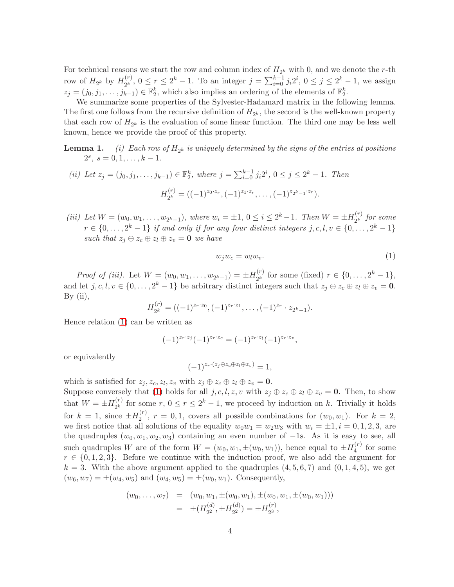For technical reasons we start the row and column index of  $H_{2^k}$  with 0, and we denote the r-th row of  $H_{2^k}$  by  $H_{2^k}^{(r)}$  $2^{(r)}_{2^k}$ ,  $0 \le r \le 2^k - 1$ . To an integer  $j = \sum_{i=0}^{k-1} j_i 2^i$ ,  $0 \le j \le 2^k - 1$ , we assign  $z_j = (j_0, j_1, \ldots, j_{k-1}) \in \mathbb{F}_2^k$ , which also implies an ordering of the elements of  $\mathbb{F}_2^k$ .

We summarize some properties of the Sylvester-Hadamard matrix in the following lemma. The first one follows from the recursive definition of  $H_{2^k}$ , the second is the well-known property that each row of  $H_{2^k}$  is the evaluation of some linear function. The third one may be less well known, hence we provide the proof of this property.

- **Lemma 1.** (i) Each row of  $H_{2^k}$  is uniquely determined by the signs of the entries at positions  $2^s, s = 0, 1, \ldots, k - 1.$
- (ii) Let  $z_j = (j_0, j_1, \ldots, j_{k-1}) \in \mathbb{F}_2^k$ , where  $j = \sum_{i=0}^{k-1} j_i 2^i$ ,  $0 \le j \le 2^k 1$ . Then  $H_{\mathfrak{I} k}^{(r)}$  $\mathcal{L}_{2^k}^{(r)} = ((-1)^{z_0 \cdot z_r}, (-1)^{z_1 \cdot z_r}, \dots, (-1)^{z_{2^k-1} \cdot z_r}).$
- (iii) Let  $W = (w_0, w_1, \dots, w_{2^k-1})$ , where  $w_i = \pm 1$ ,  $0 \le i \le 2^k 1$ . Then  $W = \pm H_{2^k}^{(r)}$  $2^k$  for some  $r \in \{0, \ldots, 2^k - 1\}$  if and only if for any four distinct integers  $j, c, l, v \in \{0, \ldots, 2^k - 1\}$ such that  $z_i \oplus z_c \oplus z_l \oplus z_v = \mathbf{0}$  we have

<span id="page-3-0"></span>
$$
w_j w_c = w_l w_v. \tag{1}
$$

*Proof of (iii).* Let  $W = (w_0, w_1, \dots, w_{2^k-1}) = \pm H_{2^k}^{(r)}$  $2^{(r)}_{2^k}$  for some (fixed)  $r \in \{0, \ldots, 2^k - 1\},\$ and let  $j, c, l, v \in \{0, ..., 2^k - 1\}$  be arbitrary distinct integers such that  $z_j \oplus z_c \oplus z_l \oplus z_v = \mathbf{0}$ . By  $(ii)$ ,

$$
H_{2^k}^{(r)} = ((-1)^{z_r \cdot z_0}, (-1)^{z_r \cdot z_1}, \dots, (-1)^{z_r} \cdot z_{2^k-1}).
$$

Hence relation [\(1\)](#page-3-0) can be written as

$$
(-1)^{z_r \cdot z_j} (-1)^{z_r \cdot z_c} = (-1)^{z_r \cdot z_l} (-1)^{z_r \cdot z_v},
$$

or equivalently

$$
(-1)^{z_r \cdot (z_j \oplus z_c \oplus z_l \oplus z_v)} = 1,
$$

which is satisfied for  $z_j, z_c, z_l, z_v$  with  $z_j \oplus z_c \oplus z_l \oplus z_v = \mathbf{0}$ . Suppose conversely that [\(1\)](#page-3-0) holds for all  $j, c, l, z, v$  with  $z_j \oplus z_c \oplus z_l \oplus z_v = 0$ . Then, to show that  $W = \pm H_{2^k}^{(r)}$  $c_{2^k}^{(r)}$  for some  $r, 0 \le r \le 2^k - 1$ , we proceed by induction on k. Trivially it holds for  $k = 1$ , since  $\pm H_2^{(r)}$  $2^{(r)}$ ,  $r = 0, 1$ , covers all possible combinations for  $(w_0, w_1)$ . For  $k = 2$ , we first notice that all solutions of the equality  $w_0w_1 = w_2w_3$  with  $w_i = \pm 1, i = 0, 1, 2, 3$ , are the quadruples  $(w_0, w_1, w_2, w_3)$  containing an even number of  $-1$ s. As it is easy to see, all such quadruples W are of the form  $W = (w_0, w_1, \pm (w_0, w_1))$ , hence equal to  $\pm H_4^{(r)}$  $4^{(r)}$  for some  $r \in \{0, 1, 2, 3\}$ . Before we continue with the induction proof, we also add the argument for  $k = 3$ . With the above argument applied to the quadruples  $(4, 5, 6, 7)$  and  $(0, 1, 4, 5)$ , we get  $(w_6, w_7) = \pm (w_4, w_5)$  and  $(w_4, w_5) = \pm (w_0, w_1)$ . Consequently,

$$
\begin{array}{rcl}\n(w_0, \ldots, w_7) & = & (w_0, w_1, \pm(w_0, w_1), \pm(w_0, w_1, \pm(w_0, w_1))) \\
& = & \pm(H_{2^2}^{(d)}, \pm H_{2^2}^{(d)}) = \pm H_{2^3}^{(r)},\n\end{array}
$$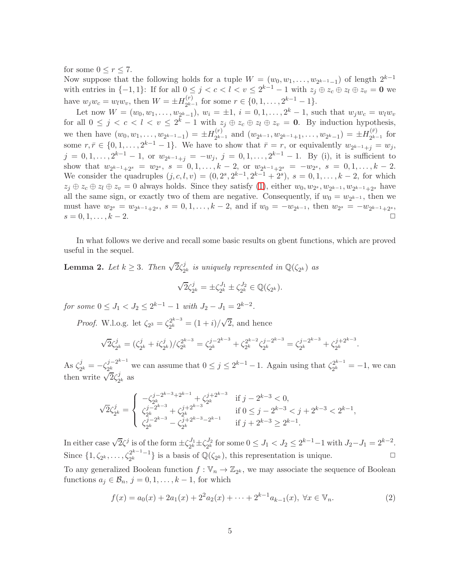for some  $0 \leq r \leq 7$ .

Now suppose that the following holds for a tuple  $W = (w_0, w_1, \ldots, w_{2^{k-1}-1})$  of length  $2^{k-1}$ with entries in  $\{-1,1\}$ : If for all  $0 \leq j < c < l < v \leq 2^{k-1} - 1$  with  $z_j \oplus z_c \oplus z_l \oplus z_v = \mathbf{0}$  we have  $w_j w_c = w_l w_v$ , then  $W = \pm H_{2^{k-1}}^{(r)}$  $x_2^{(r)}$  for some  $r \in \{0, 1, \ldots, 2^{k-1} - 1\}.$ 

Let now  $W = (w_0, w_1, \ldots, w_{2^k-1}), w_i = \pm 1, i = 0, 1, \ldots, 2^k - 1$ , such that  $w_j w_c = w_l w_v$ for all  $0 \leq j \leq c \leq l \leq v \leq 2^{k} - 1$  with  $z_j \oplus z_c \oplus z_l \oplus z_v = 0$ . By induction hypothesis, we then have  $(w_0, w_1, \ldots, w_{2^{k-1}-1}) = \pm H_{2^{k-1}}^{(r)}$  $y_{2^{k-1}}^{(r)}$  and  $(w_{2^{k-1}}, w_{2^{k-1}+1}, \ldots, w_{2^{k}-1}) = \pm H_{2^{k-1}}^{(\bar{r})}$  $2^{k-1}$  for some  $r, \bar{r} \in \{0, 1, \ldots, 2^{k-1} - 1\}$ . We have to show that  $\bar{r} = r$ , or equivalently  $w_{2^{k-1}+j} = w_j$ ,  $j = 0, 1, \ldots, 2^{k-1} - 1$ , or  $w_{2^{k-1}+j} = -w_j$ ,  $j = 0, 1, \ldots, 2^{k-1} - 1$ . By (i), it is sufficient to show that  $w_{2^{k-1}+2^s} = w_{2^s}, s = 0, 1, \ldots, k-2$ , or  $w_{2^{k-1}+2^s} = -w_{2^s}, s = 0, 1, \ldots, k-2$ . We consider the quadruples  $(j, c, l, v) = (0, 2^s, 2^{k-1}, 2^{k-1} + 2^s), s = 0, 1, ..., k-2$ , for which  $z_j \oplus z_c \oplus z_l \oplus z_v = 0$  always holds. Since they satisfy [\(1\)](#page-3-0), either  $w_0, w_{2^s}, w_{2^{k-1}}, w_{2^{k-1}+2^s}$  have all the same sign, or exactly two of them are negative. Consequently, if  $w_0 = w_{2^{k-1}}$ , then we must have  $w_{2^s} = w_{2^{k-1}+2^s}, s = 0, 1, ..., k-2$ , and if  $w_0 = -w_{2^{k-1}}$ , then  $w_{2^s} = -w_{2^{k-1}+2^s}$ ,  $s = 0, 1, \ldots, k - 2.$ 

In what follows we derive and recall some basic results on gbent functions, which are proved useful in the sequel.

<span id="page-4-1"></span>**Lemma 2.** Let  $k \geq 3$ . Then  $\sqrt{2}\zeta_2^j$  $e^{j}_{2^k}$  is uniquely represented in  $\mathbb{Q}(\zeta_{2^k})$  as

$$
\sqrt{2}\zeta_{2^k}^j = \pm \zeta_{2^k}^{J_1} \pm \zeta_{2^k}^{J_2} \in \mathbb{Q}(\zeta_{2^k}).
$$

for some  $0 \leq J_1 < J_2 \leq 2^{k-1} - 1$  with  $J_2 - J_1 = 2^{k-2}$ .

*Proof.* W.l.o.g. let  $\zeta_{2^3} = \zeta_{2^k}^{2^{k-3}}$  $2^{k-3}$  =  $(1+i)/\sqrt{2}$ , and hence

$$
\sqrt{2}\zeta_{2^k}^j = (\zeta_{2^k}^j + i\zeta_{2^k}^j)/\zeta_{2^k}^{2^{k-3}} = \zeta_{2^k}^{j-2^{k-3}} + \zeta_{2^k}^{2^{k-2}}\zeta_{2^k}^{j-2^{k-3}} = \zeta_{2^k}^{j-2^{k-3}} + \zeta_{2^k}^{j+2^{k-3}}.
$$

As  $\zeta_2^j$  $\frac{j}{2^k} = -\zeta_{2^k}^{j-2^{k-1}}$  $\frac{j-2^{k-1}}{2^k}$  we can assume that  $0 \le j \le 2^{k-1}-1$ . Again using that  $\zeta_{2^k}^{2^{k-1}}$  $2^{k^{2^{n-1}}-1} = -1$ , we can then write  $\sqrt{2}\zeta_2^j$  $\frac{\jmath}{2^k}$  as

$$
\sqrt{2}\zeta_{2^k}^j=\left\{\begin{array}{ll} -\zeta_{2^k}^{j-2^{k-3}+2^{k-1}}+\zeta_{2^k}^{j+2^{k-3}} & \text{if } j-2^{k-3}<0,\\ \zeta_{2^k}^{j-2^{k-3}}+\zeta_{2^k}^{j+2^{k-3}} & \text{if } 0\leq j-2^{k-3}
$$

In either case  $\sqrt{2}\zeta^j$  is of the form  $\pm \zeta_{2^k}^{J_1}$  $\frac{J_{1}}{2^{k}}\pm\zeta_{2^{k}}^{J_{2}}$  $J_2^{J_2}$  for some  $0 \leq J_1 < J_2 \leq 2^{k-1}-1$  with  $J_2-J_1 = 2^{k-2}$ . Since  $\{1, \zeta_{2^k}, \ldots, \zeta_{2^k}^{2^{k-1}-1}\}$  $2^{2^{k-1}-1}$  is a basis of  $\mathbb{Q}(\zeta_{2^k})$ , this representation is unique.  $\Box$ To any generalized Boolean function  $f: \mathbb{V}_n \to \mathbb{Z}_{2^k}$ , we may associate the sequence of Boolean functions  $a_j \in \mathcal{B}_n$ ,  $j = 0, 1, \ldots, k - 1$ , for which

<span id="page-4-0"></span>
$$
f(x) = a_0(x) + 2a_1(x) + 2^2 a_2(x) + \dots + 2^{k-1} a_{k-1}(x), \ \forall x \in \mathbb{V}_n.
$$
 (2)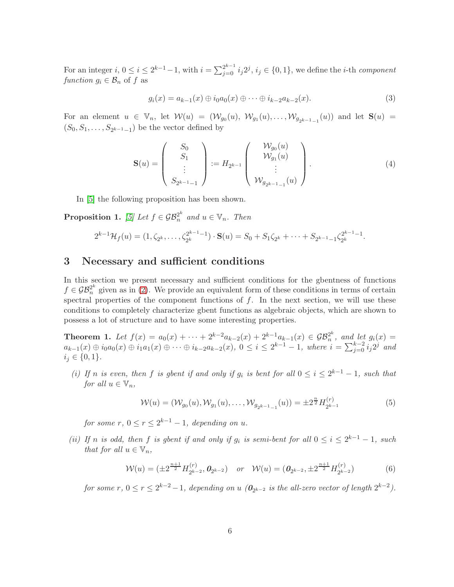For an integer  $i, 0 \le i \le 2^{k-1}-1$ , with  $i = \sum_{j=0}^{2^{k-1}} i_j 2^j$ ,  $i_j \in \{0,1\}$ , we define the *i*-th *component* function  $g_i \in \mathcal{B}_n$  of f as

$$
g_i(x) = a_{k-1}(x) \oplus i_0 a_0(x) \oplus \cdots \oplus i_{k-2} a_{k-2}(x).
$$
 (3)

For an element  $u \in \mathbb{V}_n$ , let  $\mathcal{W}(u) = (\mathcal{W}_{g_0}(u), \mathcal{W}_{g_1}(u), \ldots, \mathcal{W}_{g_{2k-1}-1}(u))$  and let  $\mathbf{S}(u) =$  $(S_0, S_1, \ldots, S_{2^{k-1}-1})$  be the vector defined by

<span id="page-5-4"></span>
$$
\mathbf{S}(u) = \begin{pmatrix} S_0 \\ S_1 \\ \vdots \\ S_{2^{k-1}-1} \end{pmatrix} := H_{2^{k-1}} \begin{pmatrix} \mathcal{W}_{g_0}(u) \\ \mathcal{W}_{g_1}(u) \\ \vdots \\ \mathcal{W}_{g_{2^{k-1}-1}}(u) \end{pmatrix} .
$$
 (4)

In [\[5\]](#page-18-7) the following proposition has been shown.

<span id="page-5-2"></span>**Proposition 1.** [\[5\]](#page-18-7) Let  $f \in \mathcal{GB}_n^{2^k}$  and  $u \in \mathbb{V}_n$ . Then

$$
2^{k-1} \mathcal{H}_f(u) = (1, \zeta_{2^k}, \dots, \zeta_{2^k}^{2^{k-1}-1}) \cdot \mathbf{S}(u) = S_0 + S_1 \zeta_{2^k} + \dots + S_{2^{k-1}-1} \zeta_{2^k}^{2^{k-1}-1}.
$$

# <span id="page-5-0"></span>3 Necessary and sufficient conditions

In this section we present necessary and sufficient conditions for the gbentness of functions  $f \in \mathcal{GB}_n^{2^k}$  given as in [\(2\)](#page-4-0). We provide an equivalent form of these conditions in terms of certain spectral properties of the component functions of  $f$ . In the next section, we will use these conditions to completely characterize gbent functions as algebraic objects, which are shown to possess a lot of structure and to have some interesting properties.

<span id="page-5-5"></span>**Theorem 1.** Let  $f(x) = a_0(x) + \cdots + 2^{k-2}a_{k-2}(x) + 2^{k-1}a_{k-1}(x) \in \mathcal{GB}_n^{2^k}$  $\binom{2^n}{n}$ , and let  $g_i(x) =$  $a_{k-1}(x) \oplus i_0 a_0(x) \oplus i_1 a_1(x) \oplus \cdots \oplus i_{k-2} a_{k-2}(x)$ ,  $0 \leq i \leq 2^{k-1} - 1$ , where  $i = \sum_{j=0}^{k-2} i_j 2^j$  and  $i_j \in \{0,1\}.$ 

(i) If n is even, then f is gbent if and only if  $g_i$  is bent for all  $0 \le i \le 2^{k-1} - 1$ , such that for all  $u \in \mathbb{V}_n$ ,

<span id="page-5-1"></span>
$$
\mathcal{W}(u) = (\mathcal{W}_{g_0}(u), \mathcal{W}_{g_1}(u), \dots, \mathcal{W}_{g_{2k-1}-1}(u)) = \pm 2^{\frac{n}{2}} H_{2^{k-1}}^{(r)}
$$
(5)

for some  $r, 0 \le r \le 2^{k-1} - 1$ , depending on u.

(ii) If n is odd, then f is gbent if and only if  $g_i$  is semi-bent for all  $0 \le i \le 2^{k-1} - 1$ , such that for all  $u \in V_n$ ,

<span id="page-5-3"></span>
$$
\mathcal{W}(u) = (\pm 2^{\frac{n+1}{2}} H_{2^{k-2}}^{(r)}, \mathbf{0}_{2^{k-2}}) \quad \text{or} \quad \mathcal{W}(u) = (\mathbf{0}_{2^{k-2}}, \pm 2^{\frac{n+1}{2}} H_{2^{k-2}}^{(r)}) \tag{6}
$$

for some  $r, 0 \le r \le 2^{k-2} - 1$ , depending on u  $(\mathbf{0}_{2^{k-2}})$  is the all-zero vector of length  $2^{k-2}$ ).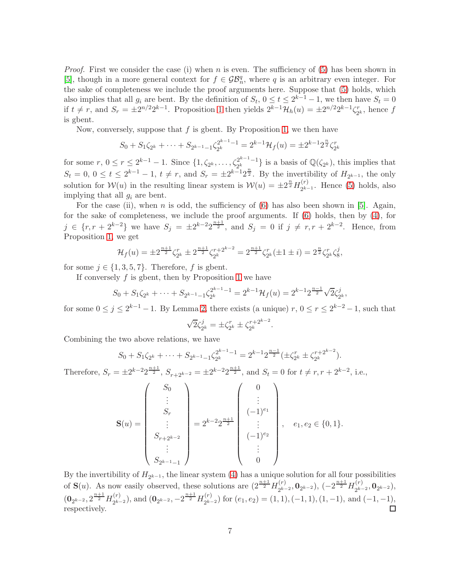*Proof.* First we consider the case (i) when n is even. The sufficiency of  $(5)$  has been shown in [\[5\]](#page-18-7), though in a more general context for  $f \in \mathcal{GB}_n^q$ , where q is an arbitrary even integer. For the sake of completeness we include the proof arguments here. Suppose that [\(5\)](#page-5-1) holds, which also implies that all  $g_i$  are bent. By the definition of  $S_t$ ,  $0 \le t \le 2^{k-1} - 1$ , we then have  $S_t = 0$ if  $t \neq r$ , and  $S_r = \pm 2^{n/2} 2^{k-1}$ . Proposition [1](#page-5-2) then yields  $2^{k-1} \mathcal{H}_h(u) = \pm 2^{n/2} 2^{k-1} \zeta_2^r$  $x_2^r$ , hence f is gbent.

Now, conversely, suppose that  $f$  is gbent. By Proposition [1,](#page-5-2) we then have

$$
S_0 + S_1 \zeta_{2^k} + \dots + S_{2^{k-1}-1} \zeta_{2^k}^{2^{k-1}-1} = 2^{k-1} \mathcal{H}_f(u) = \pm 2^{k-1} 2^{\frac{n}{2}} \zeta_{2^k}^r
$$

for some  $r, 0 \le r \le 2^{k-1} - 1$ . Since  $\{1, \zeta_{2^k}, \ldots, \zeta_{2^k}^{2^{k-1}-1}\}$  $\{2^{k-1}-1\}\$ is a basis of  $\mathbb{Q}(\zeta_{2^k})$ , this implies that  $S_t = 0, 0 \le t \le 2^{k-1} - 1, t \ne r$ , and  $S_r = \pm 2^{k-1} 2^{\frac{n}{2}}$ . By the invertibility of  $H_{2^{k-1}}$ , the only solution for  $\mathcal{W}(u)$  in the resulting linear system is  $\mathcal{W}(u) = \pm 2^{\frac{n}{2}} H_{2^{k-1}}^{(r)}$  $2^{k-1}$ . Hence [\(5\)](#page-5-1) holds, also implying that all  $g_i$  are bent.

For the case (ii), when n is odd, the sufficiency of [\(6\)](#page-5-3) has also been shown in [\[5\]](#page-18-7). Again, for the sake of completeness, we include the proof arguments. If [\(6\)](#page-5-3) holds, then by [\(4\)](#page-5-4), for j ∈ {r, r + 2<sup>k-2</sup>} we have  $S_j = \pm 2^{k-2} 2^{\frac{n+1}{2}}$ , and  $S_j = 0$  if  $j \neq r, r + 2^{k-2}$ . Hence, from Proposition [1,](#page-5-2) we get

$$
\mathcal{H}_f(u) = \pm 2^{\frac{n+1}{2}} \zeta_{2^k}^r \pm 2^{\frac{n+1}{2}} \zeta_{2^k}^{r+2^{k-2}} = 2^{\frac{n+1}{2}} \zeta_{2^k}^r (\pm 1 \pm i) = 2^{\frac{n}{2}} \zeta_{2^k}^r \zeta_8^j,
$$

for some  $j \in \{1, 3, 5, 7\}$ . Therefore, f is gbent.

If conversely  $f$  is gbent, then by Proposition [1](#page-5-2) we have

$$
S_0 + S_1 \zeta_{2^k} + \dots + S_{2^{k-1}-1} \zeta_{2^k}^{2^{k-1}-1} = 2^{k-1} \mathcal{H}_f(u) = 2^{k-1} 2^{\frac{n-1}{2}} \sqrt{2} \zeta_{2^k}^j,
$$

for some  $0 \le j \le 2^{k-1} - 1$ . By Lemma [2,](#page-4-1) there exists (a unique)  $r, 0 \le r \le 2^{k-2} - 1$ , such that

$$
\sqrt{2}\zeta_{2^k}^j = \pm \zeta_{2^k}^r \pm \zeta_{2^k}^{r+2^{k-2}}.
$$

Combining the two above relations, we have

$$
S_0 + S_1 \zeta_{2^k} + \dots + S_{2^{k-1}-1} \zeta_{2^k}^{2^{k-1}-1} = 2^{k-1} 2^{\frac{n-1}{2}} (\pm \zeta_{2^k}^r \pm \zeta_{2^k}^{r+2^{k-2}}).
$$

Therefore,  $S_r = \pm 2^{k-2} 2^{\frac{n+1}{2}}$ ,  $S_{r+2^{k-2}} = \pm 2^{k-2} 2^{\frac{n+1}{2}}$ , and  $S_t = 0$  for  $t \neq r, r + 2^{k-2}$ , i.e.,

$$
\mathbf{S}(u) = \begin{pmatrix} S_0 \\ \vdots \\ S_r \\ \vdots \\ S_{r+2^{k-2}} \\ \vdots \\ S_{2^{k-1}-1} \end{pmatrix} = 2^{k-2} 2^{\frac{n+1}{2}} \begin{pmatrix} 0 \\ \vdots \\ (-1)^{e_1} \\ \vdots \\ (-1)^{e_2} \\ \vdots \\ 0 \end{pmatrix}, \quad e_1, e_2 \in \{0, 1\}.
$$

By the invertibility of  $H_{2^{k-1}}$ , the linear system [\(4\)](#page-5-4) has a unique solution for all four possibilities of  $\mathbf{S}(u)$ . As now easily observed, these solutions are  $(2^{\frac{n+1}{2}}H_{\rho_{k}}^{(r)})$  $\binom{(r)}{2^{k-2}}, \mathbf{0}_{2^{k-2}}$ ,  $(-2^{\frac{n+1}{2}}H_{2^{k-1}}^{(r)})$  $\mathbb{Q}_{2^{k-2}}^{(r)}, \mathbf{0}_{2^{k-2}}),$  $\left({\bf 0}_{2^{k-2}}, 2^{\frac{n+1}{2}} H_{2^{k-1}}^{(r)}\right)$  $2^{(r)}_{2^{k-2}}$ , and  $(0_{2^{k-2}}, -2^{\frac{n+1}{2}}H_{2^{k-2}}^{(r)})$  $e_{2^{k-2}}^{(t)}$  for  $(e_1, e_2) = (1, 1), (-1, 1), (1, -1),$  and  $(-1, -1),$ respectively.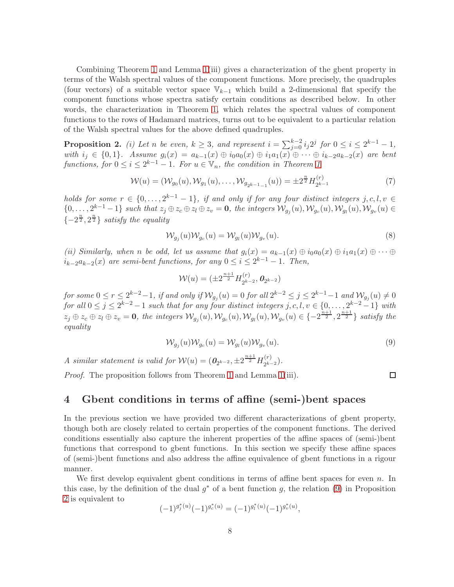Combining Theorem [1](#page-5-5) and Lemma 1(iii) gives a characterization of the gbent property in terms of the Walsh spectral values of the component functions. More precisely, the quadruples (four vectors) of a suitable vector space  $\mathbb{V}_{k-1}$  which build a 2-dimensional flat specify the component functions whose spectra satisfy certain conditions as described below. In other words, the characterization in Theorem [1,](#page-5-5) which relates the spectral values of component functions to the rows of Hadamard matrices, turns out to be equivalent to a particular relation of the Walsh spectral values for the above defined quadruples.

<span id="page-7-1"></span>**Proposition 2.** (i) Let n be even,  $k \geq 3$ , and represent  $i = \sum_{j=0}^{k-2} i_j 2^j$  for  $0 \leq i \leq 2^{k-1} - 1$ , with  $i_j \in \{0, 1\}$ . Assume  $g_i(x) = a_{k-1}(x) \oplus i_0 a_0(x) \oplus i_1 a_1(x) \oplus \cdots \oplus i_{k-2} a_{k-2}(x)$  are bent functions, for  $0 \le i \le 2^{k-1} - 1$  $0 \le i \le 2^{k-1} - 1$ . For  $u \in \mathbb{V}_n$ , the condition in Theorem 1

$$
\mathcal{W}(u) = (\mathcal{W}_{g_0}(u), \mathcal{W}_{g_1}(u), \dots, \mathcal{W}_{g_{2^{k-1}-1}}(u)) = \pm 2^{\frac{n}{2}} H_{2^{k-1}}^{(r)}
$$
(7)

holds for some  $r \in \{0, \ldots, 2^{k-1} - 1\}$ , if and only if for any four distinct integers  $j, c, l, v \in$  $\{0, \ldots, 2^{k-1}-1\}$  such that  $z_j \oplus z_c \oplus z_l \oplus z_v = \mathbf{0}$ , the integers  $\mathcal{W}_{g_j}(u), \mathcal{W}_{g_c}(u), \mathcal{W}_{g_u}(u), \mathcal{W}_{g_v}(u) \in$  $\{-2^{\frac{n}{2}}, 2^{\frac{n}{2}}\}$  satisfy the equality

$$
\mathcal{W}_{g_j}(u)\mathcal{W}_{g_c}(u) = \mathcal{W}_{g_l}(u)\mathcal{W}_{g_v}(u). \tag{8}
$$

(ii) Similarly, when n be odd, let us assume that  $g_i(x) = a_{k-1}(x) \oplus i_0 a_0(x) \oplus i_1 a_1(x) \oplus \cdots \oplus i_k a_k$  $i_{k-2}a_{k-2}(x)$  are semi-bent functions, for any  $0 \leq i \leq 2^{k-1} - 1$ . Then,

$$
\mathcal{W}(u) = (\pm 2^{\frac{n+1}{2}} H_{2^{k-2}}^{(r)}, \mathbf{0}_{2^{k-2}})
$$

for some  $0 \le r \le 2^{k-2}-1$ , if and only if  $\mathcal{W}_{g_j}(u) = 0$  for all  $2^{k-2} \le j \le 2^{k-1}-1$  and  $\mathcal{W}_{g_j}(u) \ne 0$ for all  $0 \leq j \leq 2^{k-2} - 1$  such that for any four distinct integers  $j, c, l, v \in \{0, \ldots, 2^{k-2} - 1\}$  with  $z_j \oplus z_c \oplus z_l \oplus z_v = \mathbf{0}$ , the integers  $\mathcal{W}_{g_j}(u), \mathcal{W}_{g_c}(u), \mathcal{W}_{g_l}(u), \mathcal{W}_{g_v}(u) \in \{-2^{\frac{n+1}{2}}, 2^{\frac{n+1}{2}}\}$  satisfy the equality

<span id="page-7-0"></span>
$$
\mathcal{W}_{g_j}(u)\mathcal{W}_{g_c}(u) = \mathcal{W}_{g_l}(u)\mathcal{W}_{g_v}(u). \tag{9}
$$

A similar statement is valid for  $W(u) = (0_{2^{k-2}}, \pm 2^{\frac{n+1}{2}} H_{2^{k-2}}^{(r)})$  $\binom{(r)}{2^{k-2}}$ .

Proof. The proposition follows from Theorem [1](#page-5-5) and Lemma 1(iii).

 $\Box$ 

# 4 Gbent conditions in terms of affine (semi-)bent spaces

In the previous section we have provided two different characterizations of gbent property, though both are closely related to certain properties of the component functions. The derived conditions essentially also capture the inherent properties of the affine spaces of (semi-)bent functions that correspond to gbent functions. In this section we specify these affine spaces of (semi-)bent functions and also address the affine equivalence of gbent functions in a rigour manner.

We first develop equivalent gbent conditions in terms of affine bent spaces for even n. In this case, by the definition of the dual  $g^*$  of a bent function g, the relation [\(9\)](#page-7-0) in Proposition [2](#page-7-1) is equivalent to

$$
(-1)^{g_j^*(u)}(-1)^{g_c^*(u)} = (-1)^{g_l^*(u)}(-1)^{g_v^*(u)},
$$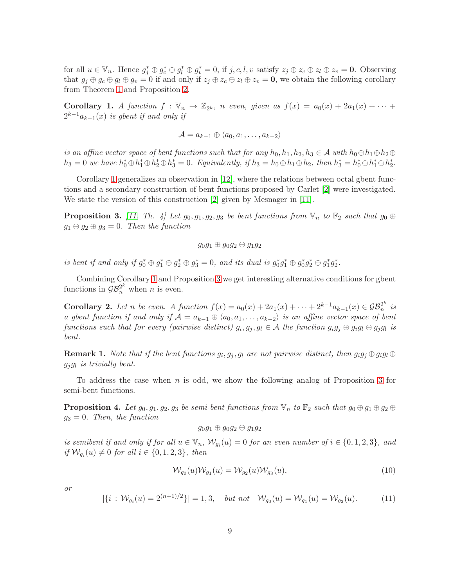for all  $u \in \mathbb{V}_n$ . Hence  $g_j^* \oplus g_c^* \oplus g_l^* \oplus g_v^* = 0$ , if  $j, c, l, v$  satisfy  $z_j \oplus z_c \oplus z_l \oplus z_v = \mathbf{0}$ . Observing that  $g_i \oplus g_c \oplus g_l \oplus g_v = 0$  if and only if  $z_i \oplus z_c \oplus z_l \oplus z_v = 0$ , we obtain the following corollary from Theorem [1](#page-5-5) and Proposition [2.](#page-7-1)

<span id="page-8-0"></span>**Corollary 1.** A function  $f : \mathbb{V}_n \to \mathbb{Z}_{2^k}$ , n even, given as  $f(x) = a_0(x) + 2a_1(x) + \cdots$  $2^{k-1}a_{k-1}(x)$  is gbent if and only if

$$
\mathcal{A} = a_{k-1} \oplus \langle a_0, a_1, \dots, a_{k-2} \rangle
$$

is an affine vector space of bent functions such that for any  $h_0, h_1, h_2, h_3 \in \mathcal{A}$  with  $h_0 \oplus h_1 \oplus h_2 \oplus$  $h_3 = 0$  we have  $h_0^* \oplus h_1^* \oplus h_2^* \oplus h_3^* = 0$ . Equivalently, if  $h_3 = h_0 \oplus h_1 \oplus h_2$ , then  $h_3^* = h_0^* \oplus h_1^* \oplus h_2^*$ .

Corollary [1](#page-8-0) generalizes an observation in [\[12\]](#page-18-11), where the relations between octal gbent functions and a secondary construction of bent functions proposed by Carlet [\[2\]](#page-18-13) were investigated. We state the version of this construction [\[2\]](#page-18-13) given by Mesnager in [\[11\]](#page-18-14).

<span id="page-8-1"></span>**Proposition 3.** [\[11,](#page-18-14) Th. 4] Let  $g_0, g_1, g_2, g_3$  be bent functions from  $\mathbb{V}_n$  to  $\mathbb{F}_2$  such that  $g_0 \oplus$  $g_1 \oplus g_2 \oplus g_3 = 0$ . Then the function

$$
g_0g_1\oplus g_0g_2\oplus g_1g_2
$$

is bent if and only if  $g_0^* \oplus g_1^* \oplus g_2^* \oplus g_3^* = 0$ , and its dual is  $g_0^* g_1^* \oplus g_0^* g_2^* \oplus g_1^* g_2^*$ .

Combining Corollary [1](#page-8-0) and Proposition [3](#page-8-1) we get interesting alternative conditions for gbent functions in  $\mathcal{GB}_n^{2^k}$  when *n* is even.

Corollary 2. Let n be even. A function  $f(x) = a_0(x) + 2a_1(x) + \cdots + 2^{k-1}a_{k-1}(x) \in \mathcal{GB}_n^{2^k}$  $\frac{2^n}{n}$  is a gbent function if and only if  $\mathcal{A} = a_{k-1} \oplus \langle a_0, a_1, \ldots, a_{k-2} \rangle$  is an affine vector space of bent functions such that for every (pairwise distinct)  $g_i, g_j, g_l \in \mathcal{A}$  the function  $g_i g_j \oplus g_i g_l \oplus g_j g_l$  is bent.

**Remark 1.** Note that if the bent functions  $g_i, g_j, g_l$  are not pairwise distinct, then  $g_i g_j \oplus g_i g_l \oplus$  $g_j g_l$  is trivially bent.

To address the case when n is odd, we show the following analog of Proposition [3](#page-8-1) for semi-bent functions.

<span id="page-8-4"></span>**Proposition 4.** Let  $g_0, g_1, g_2, g_3$  be semi-bent functions from  $\mathbb{V}_n$  to  $\mathbb{F}_2$  such that  $g_0 \oplus g_1 \oplus g_2 \oplus g_3$  $g_3 = 0$ . Then, the function

 $g_0g_1 \oplus g_0g_2 \oplus g_1g_2$ 

is semibent if and only if for all  $u \in V_n$ ,  $\mathcal{W}_{g_i}(u) = 0$  for an even number of  $i \in \{0, 1, 2, 3\}$ , and if  $\mathcal{W}_{g_i}(u) \neq 0$  for all  $i \in \{0, 1, 2, 3\}$ , then

<span id="page-8-2"></span>
$$
\mathcal{W}_{g_0}(u)\mathcal{W}_{g_1}(u) = \mathcal{W}_{g_2}(u)\mathcal{W}_{g_3}(u),\tag{10}
$$

or

<span id="page-8-3"></span>
$$
|\{i : \mathcal{W}_{g_i}(u) = 2^{(n+1)/2}\}| = 1,3, \quad but \; not \quad \mathcal{W}_{g_0}(u) = \mathcal{W}_{g_1}(u) = \mathcal{W}_{g_2}(u). \tag{11}
$$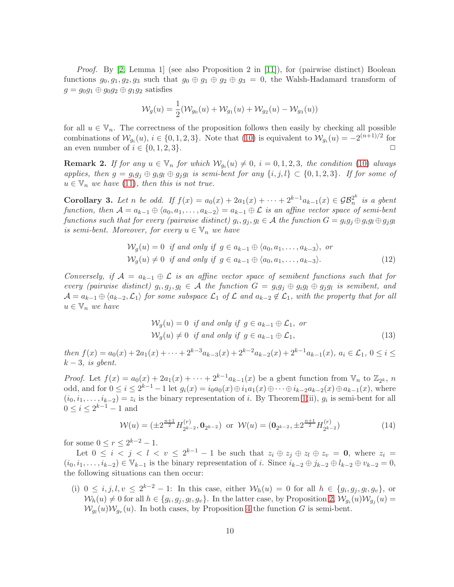*Proof.* By [\[2,](#page-18-13) Lemma 1] (see also Proposition 2 in [\[11\]](#page-18-14)), for (pairwise distinct) Boolean functions  $g_0, g_1, g_2, g_3$  such that  $g_0 \oplus g_1 \oplus g_2 \oplus g_3 = 0$ , the Walsh-Hadamard transform of  $g = g_0g_1 \oplus g_0g_2 \oplus g_1g_2$  satisfies

$$
\mathcal{W}_g(u) = \frac{1}{2}(\mathcal{W}_{g_0}(u) + \mathcal{W}_{g_1}(u) + \mathcal{W}_{g_2}(u) - \mathcal{W}_{g_3}(u))
$$

for all  $u \in V_n$ . The correctness of the proposition follows then easily by checking all possible combinations of  $\mathcal{W}_{g_i}(u), i \in \{0, 1, 2, 3\}$ . Note that [\(10\)](#page-8-2) is equivalent to  $\mathcal{W}_{g_i}(u) = -2^{(n+1)/2}$  for an even number of  $i \in \{0, 1, 2, 3\}$ .

<span id="page-9-3"></span>**Remark 2.** If for any  $u \in V_n$  for which  $W_{g_i}(u) \neq 0$ ,  $i = 0, 1, 2, 3$ , the condition [\(10\)](#page-8-2) always applies, then  $g = g_i g_j \oplus g_i g_l \oplus g_j g_l$  is semi-bent for any  $\{i, j, l\} \subset \{0, 1, 2, 3\}$ . If for some of  $u \in V_n$  we have [\(11\)](#page-8-3), then this is not true.

<span id="page-9-4"></span>Corollary 3. Let n be odd. If  $f(x) = a_0(x) + 2a_1(x) + \cdots + 2^{k-1}a_{k-1}(x) \in \mathcal{GB}_n^{2^k}$  $\frac{2^n}{n}$  is a gbent function, then  $\mathcal{A} = a_{k-1} \oplus \langle a_0, a_1, \ldots, a_{k-2} \rangle = a_{k-1} \oplus \mathcal{L}$  is an affine vector space of semi-bent  $functions \ such \ that \ for \ every \ (pairwise \ distinct) \ g_i, g_j, g_l \in \mathcal{A} \ the \ function \ G = g_ig_j \oplus g_ig_l \oplus g_jg_l$ is semi-bent. Moreover, for every  $u \in V_n$  we have

$$
\mathcal{W}_g(u) = 0 \text{ if and only if } g \in a_{k-1} \oplus \langle a_0, a_1, \dots, a_{k-3} \rangle, \text{ or}
$$
  

$$
\mathcal{W}_g(u) \neq 0 \text{ if and only if } g \in a_{k-1} \oplus \langle a_0, a_1, \dots, a_{k-3} \rangle.
$$
 (12)

Conversely, if  $\mathcal{A} = a_{k-1} \oplus \mathcal{L}$  is an affine vector space of semibent functions such that for every (pairwise distinct)  $g_i, g_j, g_l \in \mathcal{A}$  the function  $G = g_i g_j \oplus g_i g_l \oplus g_j g_l$  is semibent, and  $\mathcal{A} = a_{k-1} \oplus \langle a_{k-2}, \mathcal{L}_1 \rangle$  for some subspace  $\mathcal{L}_1$  of  $\mathcal{L}$  and  $a_{k-2} \notin \mathcal{L}_1$ , with the property that for all  $u \in V_n$  we have

<span id="page-9-2"></span><span id="page-9-0"></span>
$$
\mathcal{W}_g(u) = 0 \text{ if and only if } g \in a_{k-1} \oplus \mathcal{L}_1, \text{ or}
$$
  

$$
\mathcal{W}_g(u) \neq 0 \text{ if and only if } g \in a_{k-1} \oplus \mathcal{L}_1,
$$
 (13)

then  $f(x) = a_0(x) + 2a_1(x) + \cdots + 2^{k-3}a_{k-3}(x) + 2^{k-2}a_{k-2}(x) + 2^{k-1}a_{k-1}(x)$ ,  $a_i \in \mathcal{L}_1$ ,  $0 \le i \le k$  $k-3$ , is gbent.

*Proof.* Let  $f(x) = a_0(x) + 2a_1(x) + \cdots + 2^{k-1}a_{k-1}(x)$  be a gbent function from  $\mathbb{V}_n$  to  $\mathbb{Z}_{2^k}$ , n odd, and for  $0 \le i \le 2^{k-1} - 1$  let  $g_i(x) = i_0 a_0(x) \oplus i_1 a_1(x) \oplus \cdots \oplus i_{k-2} a_{k-2}(x) \oplus a_{k-1}(x)$ , where  $(i_0, i_1, \ldots, i_{k-2}) = z_i$  is the binary representation of *i*. By Theorem [1\(](#page-5-5)ii),  $g_i$  is semi-bent for all  $0 \le i \le 2^{k-1} - 1$  and

<span id="page-9-1"></span>
$$
\mathcal{W}(u) = (\pm 2^{\frac{n+1}{2}} H_{2^{k-2}}^{(r)}, \mathbf{0}_{2^{k-2}}) \text{ or } \mathcal{W}(u) = (\mathbf{0}_{2^{k-2}}, \pm 2^{\frac{n+1}{2}} H_{2^{k-2}}^{(r)})
$$
(14)

for some  $0 \le r \le 2^{k-2} - 1$ .

Let  $0 \leq i \leq j \leq l \leq v \leq 2^{k-1}-1$  be such that  $z_i \oplus z_j \oplus z_l \oplus z_v = 0$ , where  $z_i =$  $(i_0, i_1, \ldots, i_{k-2}) \in \mathbb{V}_{k-1}$  is the binary representation of i. Since  $i_{k-2} \oplus j_{k-2} \oplus l_{k-2} \oplus v_{k-2} = 0$ , the following situations can then occur:

(i)  $0 \leq i, j, l, v \leq 2^{k-2} - 1$ : In this case, either  $W_h(u) = 0$  for all  $h \in \{g_i, g_j, g_l, g_v\}$ , or  $W_h(u) \neq 0$  for all  $h \in \{g_i, g_j, g_l, g_v\}$ . In the latter case, by Proposition [2,](#page-7-1)  $W_{g_i}(u)W_{g_j}(u) =$  $W_{g_l}(u)W_{g_v}(u)$ . In both cases, by Proposition [4](#page-8-4) the function G is semi-bent.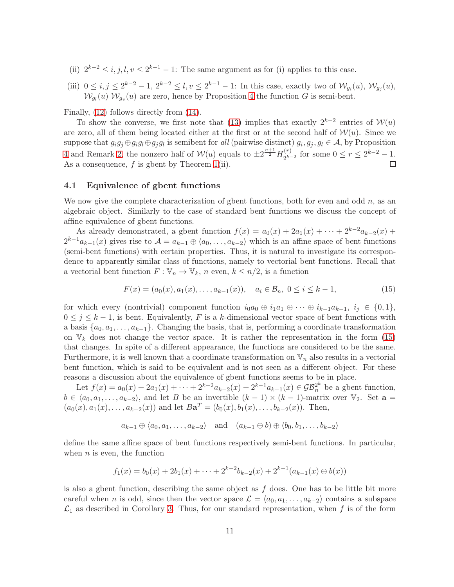- (ii)  $2^{k-2} \le i, j, l, v \le 2^{k-1} 1$ : The same argument as for (i) applies to this case.
- (iii)  $0 \le i, j \le 2^{k-2} 1, 2^{k-2} \le l, v \le 2^{k-1} 1$ : In this case, exactly two of  $\mathcal{W}_{g_i}(u)$ ,  $\mathcal{W}_{g_j}(u)$ ,  $W_{g_l}(u) W_{g_v}(u)$  are zero, hence by Proposition [4](#page-8-4) the function G is semi-bent.

Finally, [\(12\)](#page-9-0) follows directly from [\(14\)](#page-9-1).

To show the converse, we first note that [\(13\)](#page-9-2) implies that exactly  $2^{k-2}$  entries of  $\mathcal{W}(u)$ are zero, all of them being located either at the first or at the second half of  $W(u)$ . Since we suppose that  $g_i g_j \oplus g_i g_l \oplus g_j g_l$  is semibent for all (pairwise distinct)  $g_i, g_j, g_l \in \mathcal{A}$ , by Proposition [4](#page-8-4) and Remark [2,](#page-9-3) the nonzero half of  $\mathcal{W}(u)$  equals to  $\pm 2^{\frac{n+1}{2}}H_{2^{k-1}}^{(r)}$  $2^{k-2}$  for some  $0 \le r \le 2^{k-2} - 1$ . As a consequence,  $f$  is gbent by Theorem [1\(](#page-5-5)ii).

#### <span id="page-10-0"></span>4.1 Equivalence of gbent functions

We now give the complete characterization of gbent functions, both for even and odd  $n$ , as an algebraic object. Similarly to the case of standard bent functions we discuss the concept of affine equivalence of gbent functions.

As already demonstrated, a gbent function  $f(x) = a_0(x) + 2a_1(x) + \cdots + 2^{k-2}a_{k-2}(x) +$  $2^{k-1}a_{k-1}(x)$  gives rise to  $\mathcal{A} = a_{k-1} \oplus \langle a_0, \ldots, a_{k-2} \rangle$  which is an affine space of bent functions (semi-bent functions) with certain properties. Thus, it is natural to investigate its correspondence to apparently similar class of functions, namely to vectorial bent functions. Recall that a vectorial bent function  $F: \mathbb{V}_n \to \mathbb{V}_k$ , n even,  $k \leq n/2$ , is a function

<span id="page-10-1"></span>
$$
F(x) = (a_0(x), a_1(x), \dots, a_{k-1}(x)), \quad a_i \in \mathcal{B}_n, \ 0 \le i \le k-1,
$$
\n<sup>(15)</sup>

for which every (nontrivial) component function  $i_0a_0 \oplus i_1a_1 \oplus \cdots \oplus i_{k-1}a_{k-1}$ ,  $i_j \in \{0,1\}$ ,  $0 \leq j \leq k-1$ , is bent. Equivalently, F is a k-dimensional vector space of bent functions with a basis  $\{a_0, a_1, \ldots, a_{k-1}\}.$  Changing the basis, that is, performing a coordinate transformation on  $V_k$  does not change the vector space. It is rather the representation in the form [\(15\)](#page-10-1) that changes. In spite of a different appearance, the functions are considered to be the same. Furthermore, it is well known that a coordinate transformation on  $\mathbb{V}_n$  also results in a vectorial bent function, which is said to be equivalent and is not seen as a different object. For these reasons a discussion about the equivalence of gbent functions seems to be in place.

Let  $f(x) = a_0(x) + 2a_1(x) + \cdots + 2^{k-2}a_{k-2}(x) + 2^{k-1}a_{k-1}(x) \in \mathcal{GB}_n^{2^k}$  be a gbent function,  $b \in \langle a_0, a_1, \ldots, a_{k-2} \rangle$ , and let B be an invertible  $(k-1) \times (k-1)$ -matrix over  $\mathbb{V}_2$ . Set  $\mathbf{a} =$  $(a_0(x), a_1(x), \ldots, a_{k-2}(x))$  and let  $B\mathbf{a}^T = (b_0(x), b_1(x), \ldots, b_{k-2}(x))$ . Then,

$$
a_{k-1} \oplus \langle a_0, a_1, \ldots, a_{k-2} \rangle
$$
 and  $(a_{k-1} \oplus b) \oplus \langle b_0, b_1, \ldots, b_{k-2} \rangle$ 

define the same affine space of bent functions respectively semi-bent functions. In particular, when  $n$  is even, the function

$$
f_1(x) = b_0(x) + 2b_1(x) + \dots + 2^{k-2}b_{k-2}(x) + 2^{k-1}(a_{k-1}(x) \oplus b(x))
$$

is also a gbent function, describing the same object as  $f$  does. One has to be little bit more careful when n is odd, since then the vector space  $\mathcal{L} = \langle a_0, a_1, \ldots, a_{k-2} \rangle$  contains a subspace  $\mathcal{L}_1$  as described in Corollary [3.](#page-9-4) Thus, for our standard representation, when f is of the form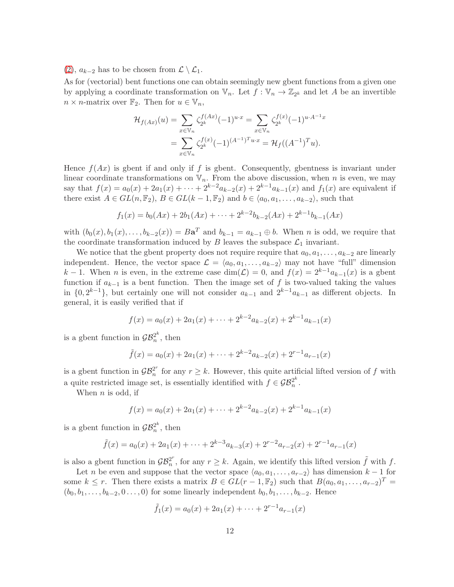[\(2\)](#page-4-0),  $a_{k-2}$  has to be chosen from  $\mathcal{L} \setminus \mathcal{L}_1$ .

As for (vectorial) bent functions one can obtain seemingly new gbent functions from a given one by applying a coordinate transformation on  $\mathbb{V}_n$ . Let  $f: \mathbb{V}_n \to \mathbb{Z}_{2^k}$  and let A be an invertible  $n \times n$ -matrix over  $\mathbb{F}_2$ . Then for  $u \in \mathbb{V}_n$ ,

$$
\mathcal{H}_{f(Ax)}(u) = \sum_{x \in \mathbb{V}_n} \zeta_{2^k}^{f(Ax)} (-1)^{u \cdot x} = \sum_{x \in \mathbb{V}_n} \zeta_{2^k}^{f(x)} (-1)^{u \cdot A^{-1}x}
$$

$$
= \sum_{x \in \mathbb{V}_n} \zeta_{2^k}^{f(x)} (-1)^{(A^{-1})^T u \cdot x} = \mathcal{H}_f((A^{-1})^T u).
$$

Hence  $f(Ax)$  is gbent if and only if f is gbent. Consequently, gbentness is invariant under linear coordinate transformations on  $\mathbb{V}_n$ . From the above discussion, when n is even, we may say that  $f(x) = a_0(x) + 2a_1(x) + \cdots + 2^{k-2}a_{k-2}(x) + 2^{k-1}a_{k-1}(x)$  and  $f_1(x)$  are equivalent if there exist  $A \in GL(n, \mathbb{F}_2)$ ,  $B \in GL(k-1, \mathbb{F}_2)$  and  $b \in \langle a_0, a_1, \ldots, a_{k-2} \rangle$ , such that

$$
f_1(x) = b_0(Ax) + 2b_1(Ax) + \dots + 2^{k-2}b_{k-2}(Ax) + 2^{k-1}b_{k-1}(Ax)
$$

with  $(b_0(x), b_1(x), \ldots, b_{k-2}(x)) = B\mathbf{a}^T$  and  $b_{k-1} = a_{k-1} \oplus b$ . When *n* is odd, we require that the coordinate transformation induced by  $B$  leaves the subspace  $\mathcal{L}_1$  invariant.

We notice that the gbent property does not require require that  $a_0, a_1, \ldots, a_{k-2}$  are linearly independent. Hence, the vector space  $\mathcal{L} = \langle a_0, a_1, \ldots, a_{k-2} \rangle$  may not have "full" dimension k − 1. When n is even, in the extreme case dim( $\mathcal{L}$ ) = 0, and  $f(x) = 2^{k-1} a_{k-1}(x)$  is a gbent function if  $a_{k-1}$  is a bent function. Then the image set of f is two-valued taking the values in  $\{0, 2^{k-1}\}$ , but certainly one will not consider  $a_{k-1}$  and  $2^{k-1}a_{k-1}$  as different objects. In general, it is easily verified that if

$$
f(x) = a_0(x) + 2a_1(x) + \dots + 2^{k-2}a_{k-2}(x) + 2^{k-1}a_{k-1}(x)
$$

is a gbent function in  $\mathcal{GB}_n^{2^k}$  $n^2$ <sup>n</sup>, then

$$
\tilde{f}(x) = a_0(x) + 2a_1(x) + \dots + 2^{k-2}a_{k-2}(x) + 2^{r-1}a_{r-1}(x)
$$

is a gbent function in  $\mathcal{GB}_n^{2^r}$  $\sum_{n=1}^{\infty}$  for any  $r \geq k$ . However, this quite artificial lifted version of f with a quite restricted image set, is essentially identified with  $f \in \mathcal{GB}_n^{2^k}$  $\frac{2^n}{n}$ .

When  $n$  is odd, if

$$
f(x) = a_0(x) + 2a_1(x) + \dots + 2^{k-2}a_{k-2}(x) + 2^{k-1}a_{k-1}(x)
$$

is a gbent function in  $\mathcal{GB}_n^{2^k}$  $n^2$ <sup>n</sup>, then

$$
\tilde{f}(x) = a_0(x) + 2a_1(x) + \dots + 2^{k-3}a_{k-3}(x) + 2^{r-2}a_{r-2}(x) + 2^{r-1}a_{r-1}(x)
$$

is also a gbent function in  $\mathcal{GB}_n^{2r}$  $n^{2^r}$ , for any  $r \geq k$ . Again, we identify this lifted version  $\tilde{f}$  with f.

Let *n* be even and suppose that the vector space  $\langle a_0, a_1, \ldots, a_{r-2} \rangle$  has dimension  $k - 1$  for some  $k \leq r$ . Then there exists a matrix  $B \in GL(r-1,\mathbb{F}_2)$  such that  $B(a_0,a_1,\ldots,a_{r-2})^T =$  $(b_0, b_1, \ldots, b_{k-2}, 0 \ldots, 0)$  for some linearly independent  $b_0, b_1, \ldots, b_{k-2}$ . Hence

$$
\tilde{f}_1(x) = a_0(x) + 2a_1(x) + \dots + 2^{r-1}a_{r-1}(x)
$$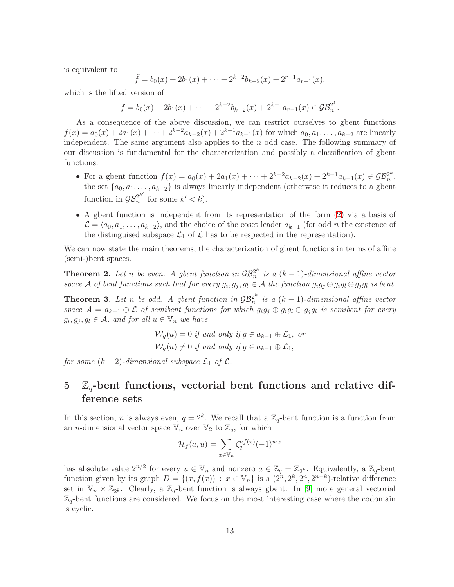is equivalent to

$$
\tilde{f} = b_0(x) + 2b_1(x) + \dots + 2^{k-2}b_{k-2}(x) + 2^{r-1}a_{r-1}(x),
$$

which is the lifted version of

$$
f = b_0(x) + 2b_1(x) + \dots + 2^{k-2}b_{k-2}(x) + 2^{k-1}a_{r-1}(x) \in \mathcal{GB}_n^{2^k}.
$$

As a consequence of the above discussion, we can restrict ourselves to gbent functions  $f(x) = a_0(x) + 2a_1(x) + \cdots + 2^{k-2}a_{k-2}(x) + 2^{k-1}a_{k-1}(x)$  for which  $a_0, a_1, \ldots, a_{k-2}$  are linearly independent. The same argument also applies to the  $n$  odd case. The following summary of our discussion is fundamental for the characterization and possibly a classification of gbent functions.

- For a gbent function  $f(x) = a_0(x) + 2a_1(x) + \cdots + 2^{k-2}a_{k-2}(x) + 2^{k-1}a_{k-1}(x) \in \mathcal{GB}_n^{2^k}$  $\frac{2^n}{n}$ , the set  $\{a_0, a_1, \ldots, a_{k-2}\}$  is always linearly independent (otherwise it reduces to a gbent function in  $\mathcal{GB}_n^{2^{k'}}$  $n^{2^k}$  for some  $k' < k$ ).
- A gbent function is independent from its representation of the form [\(2\)](#page-4-0) via a basis of  $\mathcal{L} = \langle a_0, a_1, \ldots, a_{k-2} \rangle$ , and the choice of the coset leader  $a_{k-1}$  (for odd n the existence of the distinguised subspace  $\mathcal{L}_1$  of  $\mathcal L$  has to be respected in the representation).

We can now state the main theorems, the characterization of gbent functions in terms of affine (semi-)bent spaces.

**Theorem 2.** Let n be even. A gbent function in  $\mathcal{GB}_n^{2^k}$  $\int_{n}^{2^{n}}$  is a  $(k-1)$ -dimensional affine vector space A of bent functions such that for every  $g_i, g_j, g_l \in A$  the function  $g_i g_j \oplus g_i g_l \oplus g_j g_l$  is bent.

**Theorem 3.** Let n be odd. A gbent function in  $\mathcal{GB}_n^{2^k}$  $\int_{n}^{2^{n}}$  is a  $(k-1)$ -dimensional affine vector space  $\mathcal{A} = a_{k-1} \oplus \mathcal{L}$  of semibent functions for which  $g_i g_j \oplus g_i g_l \oplus g_j g_l$  is semibent for every  $g_i, g_j, g_l \in \mathcal{A}$ , and for all  $u \in \mathbb{V}_n$  we have

$$
\mathcal{W}_g(u) = 0 \text{ if and only if } g \in a_{k-1} \oplus \mathcal{L}_1, \text{ or}
$$
  

$$
\mathcal{W}_g(u) \neq 0 \text{ if and only if } g \in a_{k-1} \oplus \mathcal{L}_1,
$$

for some  $(k-2)$ -dimensional subspace  $\mathcal{L}_1$  of  $\mathcal{L}$ .

# <span id="page-12-0"></span> $5\quad \mathbb{Z}_q$ -bent functions, vectorial bent functions and relative difference sets

In this section, *n* is always even,  $q = 2<sup>k</sup>$ . We recall that a  $\mathbb{Z}_q$ -bent function is a function from an *n*-dimensional vector space  $\mathbb{V}_n$  over  $\mathbb{V}_2$  to  $\mathbb{Z}_q$ , for which

$$
\mathcal{H}_f(a, u) = \sum_{x \in \mathbb{V}_n} \zeta_q^{af(x)} (-1)^{u \cdot x}
$$

has absolute value  $2^{n/2}$  for every  $u \in V_n$  and nonzero  $a \in \mathbb{Z}_q = \mathbb{Z}_{2^k}$ . Equivalently, a  $\mathbb{Z}_q$ -bent function given by its graph  $D = \{(x, f(x)) : x \in \mathbb{V}_n\}$  is a  $(2^n, 2^k, 2^n, 2^{n-k})$ -relative difference set in  $\mathbb{V}_n \times \mathbb{Z}_{2^k}$ . Clearly, a  $\mathbb{Z}_q$ -bent function is always gbent. In [\[9\]](#page-18-10) more general vectorial  $\mathbb{Z}_q$ -bent functions are considered. We focus on the most interesting case where the codomain is cyclic.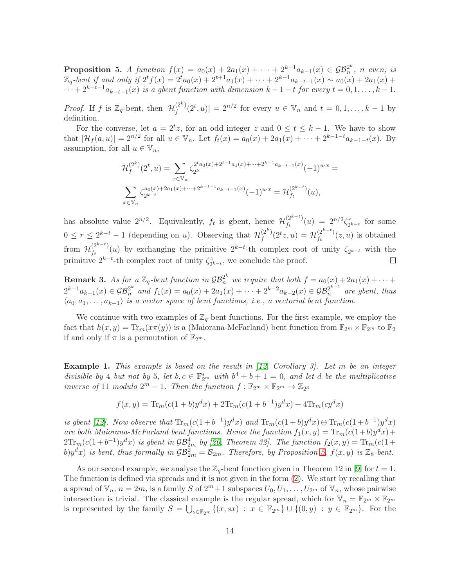<span id="page-13-0"></span>**Proposition 5.** A function  $f(x) = a_0(x) + 2a_1(x) + \cdots + 2^{k-1}a_{k-1}(x) \in \mathcal{GB}_n^{2^k}$  $n^2$ <sup>n</sup>, n even, is  $\mathbb{Z}_q$ -bent if and only if  $2^t f(x) = 2^t a_0(x) + 2^{t+1} a_1(x) + \cdots + 2^{k-1} a_{k-t-1}(x) \sim a_0(x) + 2a_1(x) +$  $\cdots + 2^{k-t-1} a_{k-t-1}(x)$  is a gbent function with dimension  $k-1-t$  for every  $t=0,1,\ldots,k-1$ .

*Proof.* If f is  $\mathbb{Z}_q$ -bent, then  $|\mathcal{H}_f^{(2^k)}(2^t, u)| = 2^{n/2}$  for every  $u \in \mathbb{V}_n$  and  $t = 0, 1, ..., k-1$  by definition.

For the converse, let  $a = 2^t z$ , for an odd integer z and  $0 \le t \le k - 1$ . We have to show that  $|\mathcal{H}_f(a, u)| = 2^{n/2}$  for all  $u \in \mathbb{V}_n$ . Let  $f_t(x) = a_0(x) + 2a_1(x) + \cdots + 2^{k-1-t}a_{k-1-t}(x)$ . By assumption, for all  $u \in \mathbb{V}_n$ ,

$$
\mathcal{H}_f^{(2^k)}(2^t, u) = \sum_{x \in \mathbb{V}_n} \zeta_{2^k}^{2^t a_0(x) + 2^{t+1} a_1(x) + \dots + 2^{k-1} a_{k-t-1}(x)} (-1)^{u \cdot x} =
$$
  

$$
\sum_{x \in \mathbb{V}_n} \zeta_{2^{k-t}}^{a_0(x) + 2a_1(x) + \dots + 2^{k-t-1} a_{k-t-1}(x)} (-1)^{u \cdot x} = \mathcal{H}_{f_t}^{(2^{k-t})}(u),
$$

has absolute value  $2^{n/2}$ . Equivalently,  $f_t$  is gbent, hence  $\mathcal{H}_{f_t}^{(2^{k-t})}$  $\binom{(2^{n-1})}{f_t}(u) = 2^{n/2}\zeta_2^r$  $\sum_{2^{k-t}}^{r}$  for some  $0 \leq r \leq 2^{k-t} - 1$  (depending on u). Observing that  $\mathcal{H}_f^{(2^k)}$  $f_f^{(2^k)}(2^t z, u) = \mathcal{H}_{f_t}^{(2^{k-t})}$  $\int_{f_t}^{(2)} f_t(x, u)$  is obtained from  $\mathcal{H}_{f_t}^{(2^{k-t})}$  $\int_{t}^{(2^{n-t})}(u)$  by exchanging the primitive  $2^{k-t}$ -th complex root of unity  $\zeta_{2^{k-t}}$  with the primitive  $2^{k-t}$ -th complex root of unity  $\zeta_2^z$  $z_{2^{k-t}}$ , we conclude the proof.  $\Box$ 

<span id="page-13-1"></span>**Remark 3.** As for a  $\mathbb{Z}_q$ -bent function in  $\mathcal{GB}_n^{2^k}$  we require that both  $f = a_0(x) + 2a_1(x) + \cdots$  $2^{k-1}a_{k-1}(x) \in \mathcal{GB}_n^{2^k}$  and  $f_1(x) = a_0(x) + 2a_1(x) + \cdots + 2^{k-2}a_{k-2}(x) \in \mathcal{GB}_n^{2^{k-1}}$  are gbent, thus  $\langle a_0, a_1, \ldots, a_{k-1} \rangle$  is a vector space of bent functions, i.e., a vectorial bent function.

We continue with two examples of  $\mathbb{Z}_q$ -bent functions. For the first example, we employ the fact that  $h(x, y) = \text{Tr}_m(x\pi(y))$  is a (Maiorana-McFarland) bent function from  $\mathbb{F}_{2^m} \times \mathbb{F}_{2^m}$  to  $\mathbb{F}_2$ if and only if  $\pi$  is a permutation of  $\mathbb{F}_{2^m}$ .

**Example 1.** This example is based on the result in  $(12, Corollary 3)$ . Let m be an integer divisible by 4 but not by 5, let  $b, c \in \mathbb{F}_{2^m}^*$  with  $b^4 + b + 1 = 0$ , and let d be the multiplicative inverse of 11 modulo  $2^m - 1$ . Then the function  $f : \mathbb{F}_{2^m} \times \mathbb{F}_{2^m} \to \mathbb{Z}_{2^3}$ 

$$
f(x,y) = \text{Tr}_{m}(c(1+b)y^{d}x) + 2\text{Tr}_{m}(c(1+b^{-1})y^{d}x) + 4\text{Tr}_{m}(cy^{d}x)
$$

is gbent [\[12\]](#page-18-11). Now observe that  $\text{Tr}_{m}(c(1+b^{-1})y^{d}x)$  and  $\text{Tr}_{m}(c(1+b)y^{d}x) \oplus \text{Tr}_{m}(c(1+b^{-1})y^{d}x)$ are both Maiorana-McFarland bent functions. Hence the function  $f_1(x,y) = Tr_m(c(1+b)y^dx) +$  $2\text{Tr}_{m}(c(1+b^{-1})y^{d}x)$  is gbent in  $\mathcal{GB}_{2m}^{4}$  by [\[20,](#page-19-4) Theorem 32]. The function  $f_{2}(x, y) = \text{Tr}_{m}(c(1+b^{-1})y^{d}x)$ b) $y^dx$ ) is bent, thus formally in  $\mathcal{GB}_{2m}^2 = \mathcal{B}_{2m}$ . Therefore, by Proposition [5,](#page-13-0)  $f(x, y)$  is  $\mathbb{Z}_8$ -bent.

As our second example, we analyse the  $\mathbb{Z}_q$ -bent function given in Theorem 12 in [\[9\]](#page-18-10) for  $t = 1$ . The function is defined via spreads and it is not given in the form [\(2\)](#page-4-0). We start by recalling that a spread of  $\mathbb{V}_n$ ,  $n = 2m$ , is a family S of  $2^m + 1$  subspaces  $U_0, U_1, \ldots, U_{2^m}$  of  $\mathbb{V}_n$ , whose pairwise intersection is trivial. The classical example is the regular spread, which for  $\mathbb{V}_n = \mathbb{F}_{2^m} \times \mathbb{F}_{2^m}$ is represented by the family  $S = \bigcup_{s \in \mathbb{F}_{2^m}} \{(x, sx) : x \in \mathbb{F}_{2^m}\} \cup \{(0, y) : y \in \mathbb{F}_{2^m}\}.$  For the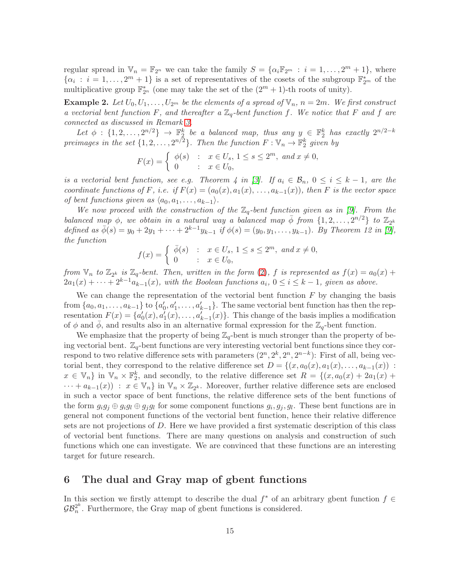regular spread in  $\mathbb{V}_n = \mathbb{F}_{2^n}$  we can take the family  $S = {\alpha_i \mathbb{F}_{2^m} : i = 1, ..., 2^m + 1}$ , where  $\{\alpha_i : i = 1, \ldots, 2^m + 1\}$  is a set of representatives of the cosets of the subgroup  $\mathbb{F}_{2^m}^*$  of the multiplicative group  $\mathbb{F}_{2^n}^*$  (one may take the set of the  $(2^m + 1)$ -th roots of unity).

**Example 2.** Let  $U_0, U_1, \ldots, U_{2^m}$  be the elements of a spread of  $\mathbb{V}_n$ ,  $n = 2m$ . We first construct a vectorial bent function F, and thereafter a  $\mathbb{Z}_q$ -bent function f. We notice that F and f are connected as discussed in Remark [3.](#page-13-1)

Let  $\phi: \{1, 2, ..., 2^{n/2}\} \rightarrow \mathbb{F}_2^k$  be a balanced map, thus any  $y \in \mathbb{F}_2^k$  has exactly  $2^{n/2-k}$ preimages in the set  $\{1, 2, ..., 2^{n/2}\}$ . Then the function  $F: \mathbb{V}_n \to \mathbb{F}_2^k$  given by

$$
F(x) = \begin{cases} \phi(s) & : x \in U_s, \ 1 \le s \le 2^m, \ and \ x \neq 0, \\ 0 & : x \in U_0, \end{cases}
$$

is a vectorial bent function, see e.g. Theorem 4 in [\[3\]](#page-18-15). If  $a_i \in \mathcal{B}_n$ ,  $0 \le i \le k-1$ , are the coordinate functions of F, i.e. if  $F(x) = (a_0(x), a_1(x), \ldots, a_{k-1}(x))$ , then F is the vector space of bent functions given as  $\langle a_0, a_1, \ldots, a_{k-1} \rangle$ .

We now proceed with the construction of the  $\mathbb{Z}_q$ -bent function given as in [\[9\]](#page-18-10). From the balanced map  $\phi$ , we obtain in a natural way a balanced map  $\bar{\phi}$  from  $\{1, 2, \ldots, 2^{n/2}\}$  to  $\mathbb{Z}_{2^k}$ defined as  $\bar{\phi}(s) = y_0 + 2y_1 + \cdots + 2^{k-1}y_{k-1}$  if  $\phi(s) = (y_0, y_1, \ldots, y_{k-1})$ . By Theorem 12 in [\[9\]](#page-18-10), the function

$$
f(x) = \begin{cases} \overline{\phi}(s) & : x \in U_s, \ 1 \le s \le 2^m, \ \text{and} \ x \neq 0, \\ 0 & : x \in U_0, \end{cases}
$$

from  $\mathbb{V}_n$  to  $\mathbb{Z}_{2^k}$  is  $\mathbb{Z}_q$ -bent. Then, written in the form [\(2\)](#page-4-0), f is represented as  $f(x) = a_0(x) +$  $2a_1(x) + \cdots + 2^{k-1}a_{k-1}(x)$ , with the Boolean functions  $a_i, 0 \le i \le k-1$ , given as above.

We can change the representation of the vectorial bent function  $F$  by changing the basis from  $\{a_0, a_1, \ldots, a_{k-1}\}\$  to  $\{a'_0, a'_1, \ldots, a'_{k-1}\}\$ . The same vectorial bent function has then the representation  $F(x) = \{a'_0(x), a'_1(x), \ldots, a'_{k-1}(x)\}\$ . This change of the basis implies a modification of  $\phi$  and  $\phi$ , and results also in an alternative formal expression for the  $\mathbb{Z}_q$ -bent function.

We emphasize that the property of being  $\mathbb{Z}_q$ -bent is much stronger than the property of being vectorial bent.  $\mathbb{Z}_q$ -bent functions are very interesting vectorial bent functions since they correspond to two relative difference sets with parameters  $(2^n, 2^k, 2^n, 2^{n-k})$ : First of all, being vectorial bent, they correspond to the relative difference set  $D = \{(x, a_0(x), a_1(x), \ldots, a_{k-1}(x))\}$ :  $x \in \mathbb{V}_n$  in  $\mathbb{V}_n \times \mathbb{F}_2^k$ , and secondly, to the relative difference set  $R = \{(x, a_0(x) + 2a_1(x) +$  $\cdots + a_{k-1}(x)$  :  $x \in V_n$  in  $V_n \times Z_{2^k}$ . Moreover, further relative difference sets are enclosed in such a vector space of bent functions, the relative difference sets of the bent functions of the form  $g_i g_j \oplus g_i g_l \oplus g_j g_l$  for some component functions  $g_i, g_j, g_l$ . These bent functions are in general not component functions of the vectorial bent function, hence their relative difference sets are not projections of D. Here we have provided a first systematic description of this class of vectorial bent functions. There are many questions on analysis and construction of such functions which one can investigate. We are convinced that these functions are an interesting target for future research.

### <span id="page-14-0"></span>6 The dual and Gray map of gbent functions

In this section we firstly attempt to describe the dual  $f^*$  of an arbitrary gbent function  $f \in$  $\mathcal{GB}_n^{2^k}$  $n^{2^n}$ . Furthermore, the Gray map of gbent functions is considered.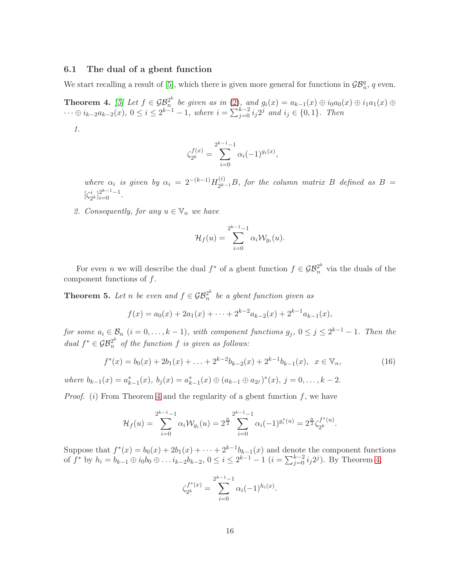### 6.1 The dual of a gbent function

We start recalling a result of [\[5\]](#page-18-7), which there is given more general for functions in  $\mathcal{GB}_n^q$ , q even.

<span id="page-15-0"></span>**Theorem 4.** [\[5\]](#page-18-7) Let  $f \in \mathcal{GB}_n^{2^k}$  $a_n^{2^n}$  be given as in  $(2)$ , and  $g_i(x) = a_{k-1}(x) \oplus i_0 a_0(x) \oplus i_1 a_1(x) \oplus i_2 a_1(x)$  $\dots \oplus i_{k-2}a_{k-2}(x)$ , 0 ≤  $i \leq 2^{k-1} - 1$ , where  $i = \sum_{j=0}^{k-2} i_j 2^j$  and  $i_j \in \{0, 1\}$ . Then

1.

$$
\zeta_{2^k}^{f(x)} = \sum_{i=0}^{2^{k-1}-1} \alpha_i (-1)^{g_i(x)},
$$

where  $\alpha_i$  is given by  $\alpha_i = 2^{-(k-1)} H_{2k}^{(i)}$  $2^{k-1}B$ , for the column matrix B defined as  $B =$  $\zeta^i_2$  $[i]_{i=0}^{2^{k-1}-1}.$ 

2. Consequently, for any  $u \in \mathbb{V}_n$  we have

$$
\mathcal{H}_f(u) = \sum_{i=0}^{2^{k-1}-1} \alpha_i \mathcal{W}_{g_i}(u).
$$

For even *n* we will describe the dual  $f^*$  of a gbent function  $f \in \mathcal{GB}_n^{2^k}$  via the duals of the component functions of  $f$ .

<span id="page-15-1"></span>**Theorem 5.** Let n be even and  $f \in \mathcal{GB}_n^{2^k}$  $\frac{2^n}{n}$  be a gbent function given as

$$
f(x) = a_0(x) + 2a_1(x) + \dots + 2^{k-2}a_{k-2}(x) + 2^{k-1}a_{k-1}(x),
$$

for some  $a_i \in \mathcal{B}_n$   $(i = 0, \ldots, k - 1)$ , with component functions  $g_j$ ,  $0 \leq j \leq 2^{k-1} - 1$ . Then the dual  $f^* \in \mathcal{GB}_n^{2^k}$  of the function f is given as follows:

$$
f^*(x) = b_0(x) + 2b_1(x) + \ldots + 2^{k-2}b_{k-2}(x) + 2^{k-1}b_{k-1}(x), \quad x \in \mathbb{V}_n,
$$
\n(16)

where  $b_{k-1}(x) = a_{k-1}^*(x)$ ,  $b_j(x) = a_{k-1}^*(x) \oplus (a_{k-1} \oplus a_{2^j})^*(x)$ ,  $j = 0, ..., k-2$ .

*Proof.* (i) From Theorem [4](#page-15-0) and the regularity of a gbent function f, we have

$$
\mathcal{H}_f(u) = \sum_{i=0}^{2^{k-1}-1} \alpha_i \mathcal{W}_{g_i}(u) = 2^{\frac{n}{2}} \sum_{i=0}^{2^{k-1}-1} \alpha_i (-1)^{g_i^*(u)} = 2^{\frac{n}{2}} \zeta_{2^k}^{f^*(u)}.
$$

Suppose that  $f^*(x) = b_0(x) + 2b_1(x) + \cdots + 2^{k-1}b_{k-1}(x)$  and denote the component functions of  $f^*$  by  $h_i = b_{k-1} \oplus i_0 b_0 \oplus \ldots i_{k-2} b_{k-2}, 0 \le i \le 2^{k-1} - 1$   $(i = \sum_{j=0}^{k-2} i_j 2^j)$ . By Theorem [4,](#page-15-0)

$$
\zeta_{2^k}^{f^*(x)} = \sum_{i=0}^{2^{k-1}-1} \alpha_i (-1)^{h_i(x)}.
$$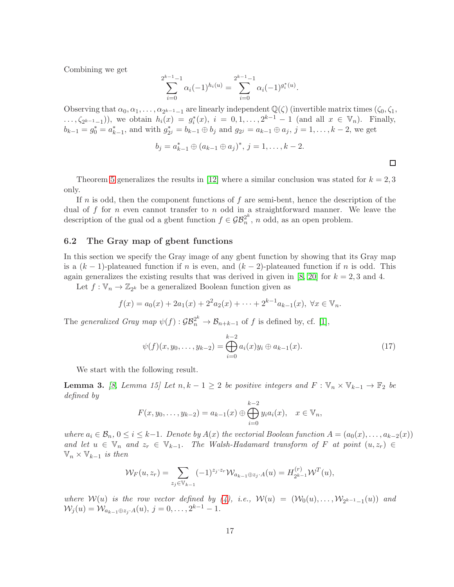Combining we get

$$
\sum_{i=0}^{2^{k-1}-1} \alpha_i (-1)^{h_i(u)} = \sum_{i=0}^{2^{k-1}-1} \alpha_i (-1)^{g_i^*(u)}.
$$

Observing that  $\alpha_0, \alpha_1, \ldots, \alpha_{2^{k-1}-1}$  are linearly independent  $\mathbb{Q}(\zeta)$  (invertible matrix times  $(\zeta_0, \zeta_1, \zeta_2, \zeta_2, \zeta_3, \zeta_4)$ ) ...,  $\zeta_{2^{k-1}-1}$ ), we obtain  $h_i(x) = g_i^*(x)$ ,  $i = 0, 1, ..., 2^{k-1} - 1$  (and all  $x \in \mathbb{V}_n$ ). Finally,  $b_{k-1} = g_0^* = a_{k-1}^*$ , and with  $g_2^*$  $z_{2}^* = b_{k-1} \oplus b_j$  and  $g_{2} = a_{k-1} \oplus a_j$ ,  $j = 1, ..., k-2$ , we get

$$
b_j = a_{k-1}^* \oplus (a_{k-1} \oplus a_j)^*, j = 1, \ldots, k-2.
$$

 $\Box$ 

Theorem [5](#page-15-1) generalizes the results in [\[12\]](#page-18-11) where a similar conclusion was stated for  $k = 2, 3$ only.

If n is odd, then the component functions of f are semi-bent, hence the description of the dual of f for n even cannot transfer to n odd in a straightforward manner. We leave the description of the gual od a gbent function  $f \in \mathcal{GB}_n^{2^k}$  $n^{2^n}$ , *n* odd, as an open problem.

#### 6.2 The Gray map of gbent functions

In this section we specify the Gray image of any gbent function by showing that its Gray map is a  $(k-1)$ -plateaued function if n is even, and  $(k-2)$ -plateaued function if n is odd. This again generalizes the existing results that was derived in given in [\[8,](#page-18-9) [20\]](#page-19-4) for  $k = 2, 3$  and 4.

Let  $f: \mathbb{V}_n \to \mathbb{Z}_{2^k}$  be a generalized Boolean function given as

$$
f(x) = a_0(x) + 2a_1(x) + 2^2 a_2(x) + \dots + 2^{k-1} a_{k-1}(x), \ \forall x \in \mathbb{V}_n.
$$

The generalized Gray map  $\psi(f) : \mathcal{GB}_n^{2^k} \to \mathcal{B}_{n+k-1}$  of f is defined by, cf. [\[1\]](#page-17-0),

$$
\psi(f)(x, y_0, \dots, y_{k-2}) = \bigoplus_{i=0}^{k-2} a_i(x) y_i \oplus a_{k-1}(x).
$$
\n(17)

We start with the following result.

<span id="page-16-0"></span>**Lemma 3.** [\[8,](#page-18-9) Lemma 15] Let  $n, k - 1 \geq 2$  be positive integers and  $F : \mathbb{V}_n \times \mathbb{V}_{k-1} \to \mathbb{F}_2$  be defined by

$$
F(x, y_0, \dots, y_{k-2}) = a_{k-1}(x) \oplus \bigoplus_{i=0}^{k-2} y_i a_i(x), \quad x \in \mathbb{V}_n,
$$

where  $a_i \in \mathcal{B}_n$ ,  $0 \le i \le k-1$ . Denote by  $A(x)$  the vectorial Boolean function  $A = (a_0(x), \ldots, a_{k-2}(x))$ and let  $u \in \mathbb{V}_n$  and  $z_r \in \mathbb{V}_{k-1}$ . The Walsh-Hadamard transform of F at point  $(u, z_r) \in$  $\mathbb{V}_n \times \mathbb{V}_{k-1}$  is then

$$
\mathcal{W}_F(u, z_r) = \sum_{z_j \in \mathbb{V}_{k-1}} (-1)^{z_j \cdot z_r} \mathcal{W}_{a_{k-1} \oplus z_j \cdot A}(u) = H_{2^{k-1}}^{(r)} \mathcal{W}^T(u),
$$

where  $W(u)$  is the row vector defined by [\(4\)](#page-5-4), i.e.,  $W(u) = (W_0(u), \ldots, W_{2^{k-1}-1}(u))$  and  $\mathcal{W}_j(u) = \mathcal{W}_{a_{k-1} \oplus z_j \cdot A}(u), \ j = 0, \ldots, 2^{k-1} - 1.$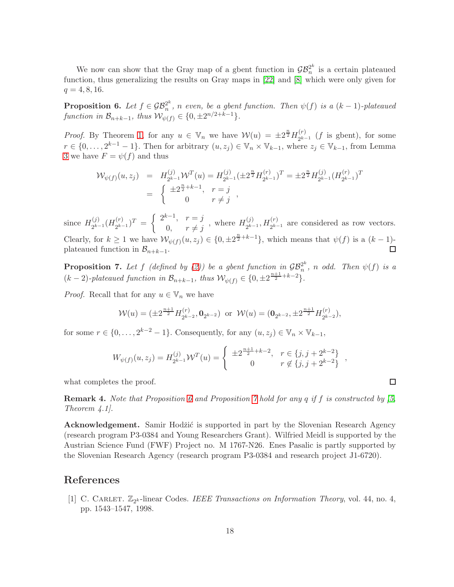We now can show that the Gray map of a gbent function in  $\mathcal{GB}_n^{2^k}$  $\frac{2^n}{n}$  is a certain plateaued function, thus generalizing the results on Gray maps in [\[22\]](#page-19-5) and [\[8\]](#page-18-9) which were only given for  $q = 4, 8, 16.$ 

<span id="page-17-1"></span>**Proposition 6.** Let  $f \in \mathcal{GB}_n^{2^k}$  $\mathbb{Z}_n^{\infty}$ , n even, be a gbent function. Then  $\psi(f)$  is a  $(k-1)$ -plateaued function in  $\mathcal{B}_{n+k-1}$ , thus  $\mathcal{W}_{\psi(f)} \in \{0, \pm 2^{n/2+k-1}\}.$ 

*Proof.* By Theorem [1,](#page-5-5) for any  $u \in \mathbb{V}_n$  we have  $\mathcal{W}(u) = \pm 2^{\frac{n}{2}} H_{2^{k-1}}^{(r)}$  $2^{k-1}$  (f is gbent), for some  $r \in \{0, \ldots, 2^{k-1}-1\}$ . Then for arbitrary  $(u, z_j) \in \mathbb{V}_n \times \mathbb{V}_{k-1}$ , where  $z_j \in \mathbb{V}_{k-1}$ , from Lemma [3](#page-16-0) we have  $F = \psi(f)$  and thus

$$
\mathcal{W}_{\psi(f)}(u, z_j) = H_{2^{k-1}}^{(j)} \mathcal{W}^T(u) = H_{2^{k-1}}^{(j)} (\pm 2^{\frac{n}{2}} H_{2^{k-1}}^{(r)})^T = \pm 2^{\frac{n}{2}} H_{2^{k-1}}^{(j)} (H_{2^{k-1}}^{(r)})^T
$$
  
= 
$$
\begin{cases} \pm 2^{\frac{n}{2} + k - 1}, & r = j \\ 0 & r \neq j \end{cases}
$$

since  $H_{2k-}^{(j)}$  $\chi_{2^{k-1}}^{(j)}(H_{2^{k-1}}^{(r)})$  $\binom{r}{2^{k-1}}^T = \begin{cases} 2^{k-1}, & r = j \\ 0 & r \neq j \end{cases}$  $\begin{array}{cc} r & r = j \\ 0, & r \neq j \end{array}$ , where  $H_{2^{k-1}}^{(j)}$  $\chi_{2^{k-1}}^{(j)}$ ,  $H_{2^{k-1}}^{(r)}$  are considered as row vectors. Clearly, for  $k \geq 1$  we have  $\mathcal{W}_{\psi(f)}(u, z_j) \in \{0, \pm 2^{\frac{n}{2}+k-1}\}\$ , which means that  $\psi(f)$  is a  $(k-1)$ plateaued function in  $\mathcal{B}_{n+k-1}$ .

<span id="page-17-2"></span>**Proposition 7.** Let f (defined by [\(2\)](#page-4-0)) be a gbent function in  $\mathcal{GB}_n^{2^k}$  $n \choose n$ , n odd. Then  $\psi(f)$  is a  $(k-2)$ -plateaued function in  $\mathcal{B}_{n+k-1}$ , thus  $\mathcal{W}_{\psi(f)} \in \{0, \pm 2^{\frac{n+1}{2}+k-2}\}.$ 

*Proof.* Recall that for any  $u \in V_n$  we have

$$
\mathcal{W}(u) = (\pm 2^{\frac{n+1}{2}} H_{2^{k-2}}^{(r)}, \mathbf{0}_{2^{k-2}}) \text{ or } \mathcal{W}(u) = (\mathbf{0}_{2^{k-2}}, \pm 2^{\frac{n+1}{2}} H_{2^{k-2}}^{(r)}),
$$

for some  $r \in \{0, \ldots, 2^{k-2} - 1\}$ . Consequently, for any  $(u, z_j) \in \mathbb{V}_n \times \mathbb{V}_{k-1}$ ,

$$
W_{\psi(f)}(u, z_j) = H_{2^{k-1}}^{(j)} \mathcal{W}^T(u) = \begin{cases} \pm 2^{\frac{n+1}{2} + k - 2}, & r \in \{j, j + 2^{k-2}\} \\ 0 & r \notin \{j, j + 2^{k-2}\} \end{cases}
$$

 $\Box$ 

what completes the proof.

**Remark 4.** Note that Proposition [6](#page-17-1) and Proposition [7](#page-17-2) hold for any q if f is constructed by  $(5, 5)$ Theorem 4.1].

Acknowledgement. Samir Hodžić is supported in part by the Slovenian Research Agency (research program P3-0384 and Young Researchers Grant). Wilfried Meidl is supported by the Austrian Science Fund (FWF) Project no. M 1767-N26. Enes Pasalic is partly supported by the Slovenian Research Agency (research program P3-0384 and research project J1-6720).

#### <span id="page-17-0"></span>References

[1] C. CARLET.  $\mathbb{Z}_{2^k}$ -linear Codes. IEEE Transactions on Information Theory, vol. 44, no. 4, pp. 1543–1547, 1998.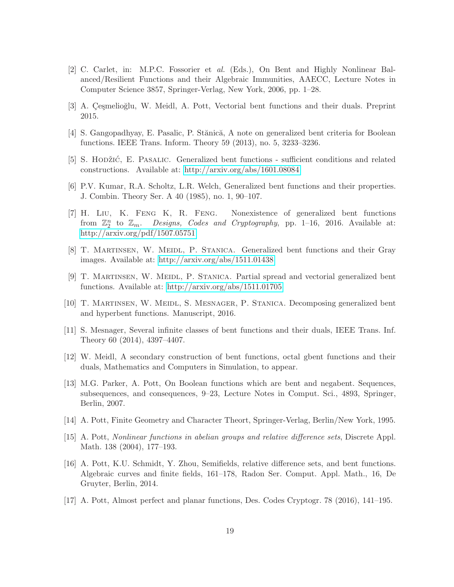- <span id="page-18-13"></span>[2] C. Carlet, in: M.P.C. Fossorier et al. (Eds.), On Bent and Highly Nonlinear Balanced/Resilient Functions and their Algebraic Immunities, AAECC, Lecture Notes in Computer Science 3857, Springer-Verlag, New York, 2006, pp. 1–28.
- <span id="page-18-15"></span><span id="page-18-1"></span>[3] A. Çeşmelioğlu, W. Meidl, A. Pott, Vectorial bent functions and their duals. Preprint 2015.
- <span id="page-18-7"></span>[4] S. Gangopadhyay, E. Pasalic, P. Stănică, A note on generalized bent criteria for Boolean functions. IEEE Trans. Inform. Theory 59 (2013), no. 5, 3233–3236.
- <span id="page-18-2"></span>[5] S. HODŽIĆ, E. PASALIC. Generalized bent functions - sufficient conditions and related constructions. Available at:<http://arxiv.org/abs/1601.08084>
- <span id="page-18-8"></span>[6] P.V. Kumar, R.A. Scholtz, L.R. Welch, Generalized bent functions and their properties. J. Combin. Theory Ser. A 40 (1985), no. 1, 90–107.
- [7] H. Liu, K. Feng K, R. Feng. Nonexistence of generalized bent functions from  $\mathbb{Z}_2^n$ Designs, Codes and Cryptography, pp. 1–16, 2016. Available at: <http://arxiv.org/pdf/1507.05751>
- <span id="page-18-9"></span>[8] T. Martinsen, W. Meidl, P. Stanica. Generalized bent functions and their Gray images. Available at:<http://arxiv.org/abs/1511.01438>
- <span id="page-18-10"></span>[9] T. MARTINSEN, W. MEIDL, P. STANICA. Partial spread and vectorial generalized bent functions. Available at:<http://arxiv.org/abs/1511.01705>
- <span id="page-18-14"></span><span id="page-18-12"></span>[10] T. Martinsen, W. Meidl, S. Mesnager, P. Stanica. Decomposing generalized bent and hyperbent functions. Manuscript, 2016.
- <span id="page-18-11"></span>[11] S. Mesnager, Several infinite classes of bent functions and their duals, IEEE Trans. Inf. Theory 60 (2014), 4397–4407.
- <span id="page-18-3"></span>[12] W. Meidl, A secondary construction of bent functions, octal gbent functions and their duals, Mathematics and Computers in Simulation, to appear.
- [13] M.G. Parker, A. Pott, On Boolean functions which are bent and negabent. Sequences, subsequences, and consequences, 9–23, Lecture Notes in Comput. Sci., 4893, Springer, Berlin, 2007.
- <span id="page-18-6"></span><span id="page-18-0"></span>[14] A. Pott, Finite Geometry and Character Theort, Springer-Verlag, Berlin/New York, 1995.
- [15] A. Pott, Nonlinear functions in abelian groups and relative difference sets, Discrete Appl. Math. 138 (2004), 177–193.
- <span id="page-18-4"></span>[16] A. Pott, K.U. Schmidt, Y. Zhou, Semifields, relative difference sets, and bent functions. Algebraic curves and finite fields, 161–178, Radon Ser. Comput. Appl. Math., 16, De Gruyter, Berlin, 2014.
- <span id="page-18-5"></span>[17] A. Pott, Almost perfect and planar functions, Des. Codes Cryptogr. 78 (2016), 141–195.